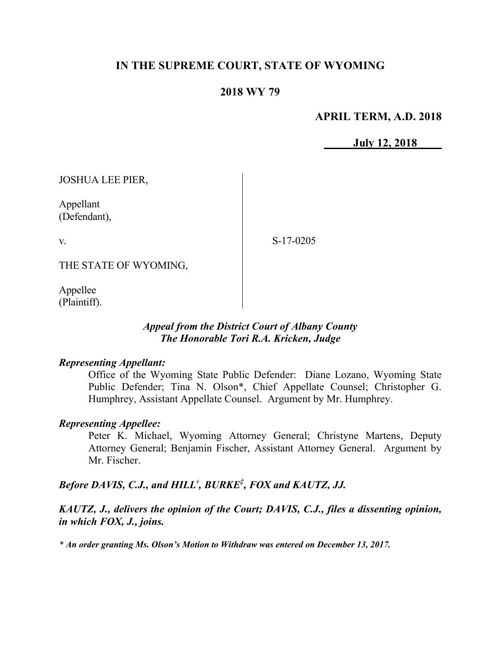## **IN THE SUPREME COURT, STATE OF WYOMING**

## **2018 WY 79**

## **APRIL TERM, A.D. 2018**

**July 12, 2018**

JOSHUA LEE PIER,

Appellant (Defendant),

v.

S-17-0205

THE STATE OF WYOMING,

Appellee (Plaintiff).

#### *Appeal from the District Court of Albany County The Honorable Tori R.A. Kricken, Judge*

### *Representing Appellant:*

Office of the Wyoming State Public Defender: Diane Lozano, Wyoming State Public Defender; Tina N. Olson\*, Chief Appellate Counsel; Christopher G. Humphrey, Assistant Appellate Counsel. Argument by Mr. Humphrey.

### *Representing Appellee:*

Peter K. Michael, Wyoming Attorney General; Christyne Martens, Deputy Attorney General; Benjamin Fischer, Assistant Attorney General. Argument by Mr. Fischer.

# *Before DAVIS, C.J., and HILL† , BURKE ‡ , FOX and KAUTZ, JJ.*

*KAUTZ, J., delivers the opinion of the Court; DAVIS, C.J., files a dissenting opinion, in which FOX, J., joins.*

*\* An order granting Ms. Olson's Motion to Withdraw was entered on December 13, 2017.*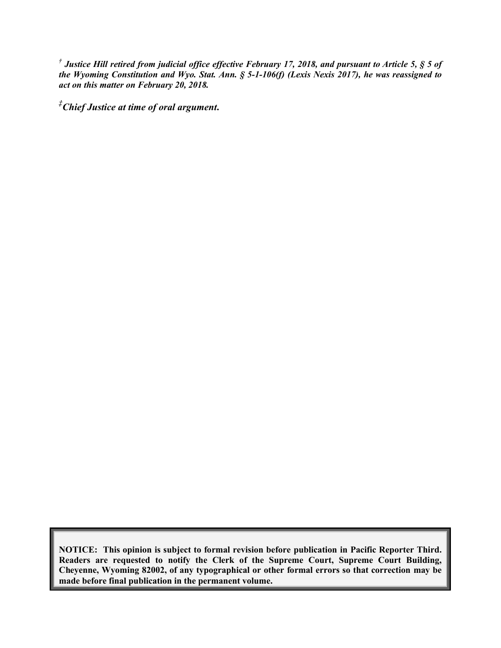*† Justice Hill retired from judicial office effective February 17, 2018, and pursuant to Article 5, § 5 of the Wyoming Constitution and Wyo. Stat. Ann. § 5-1-106(f) (Lexis Nexis 2017), he was reassigned to act on this matter on February 20, 2018.*

*‡Chief Justice at time of oral argument***.**

**NOTICE: This opinion is subject to formal revision before publication in Pacific Reporter Third. Readers are requested to notify the Clerk of the Supreme Court, Supreme Court Building, Cheyenne, Wyoming 82002, of any typographical or other formal errors so that correction may be made before final publication in the permanent volume.**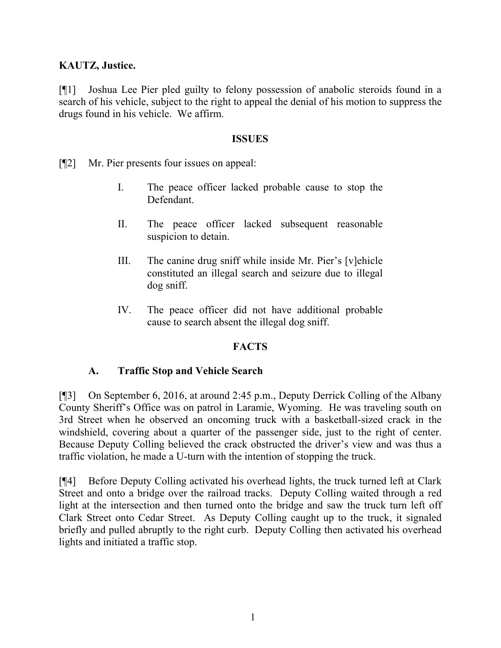## **KAUTZ, Justice.**

[¶1] Joshua Lee Pier pled guilty to felony possession of anabolic steroids found in a search of his vehicle, subject to the right to appeal the denial of his motion to suppress the drugs found in his vehicle. We affirm.

### **ISSUES**

- [¶2] Mr. Pier presents four issues on appeal:
	- I. The peace officer lacked probable cause to stop the Defendant.
	- II. The peace officer lacked subsequent reasonable suspicion to detain.
	- III. The canine drug sniff while inside Mr. Pier's [v]ehicle constituted an illegal search and seizure due to illegal dog sniff.
	- IV. The peace officer did not have additional probable cause to search absent the illegal dog sniff.

## **FACTS**

## **A. Traffic Stop and Vehicle Search**

[¶3] On September 6, 2016, at around 2:45 p.m., Deputy Derrick Colling of the Albany County Sheriff's Office was on patrol in Laramie, Wyoming. He was traveling south on 3rd Street when he observed an oncoming truck with a basketball-sized crack in the windshield, covering about a quarter of the passenger side, just to the right of center. Because Deputy Colling believed the crack obstructed the driver's view and was thus a traffic violation, he made a U-turn with the intention of stopping the truck.

[¶4] Before Deputy Colling activated his overhead lights, the truck turned left at Clark Street and onto a bridge over the railroad tracks. Deputy Colling waited through a red light at the intersection and then turned onto the bridge and saw the truck turn left off Clark Street onto Cedar Street. As Deputy Colling caught up to the truck, it signaled briefly and pulled abruptly to the right curb. Deputy Colling then activated his overhead lights and initiated a traffic stop.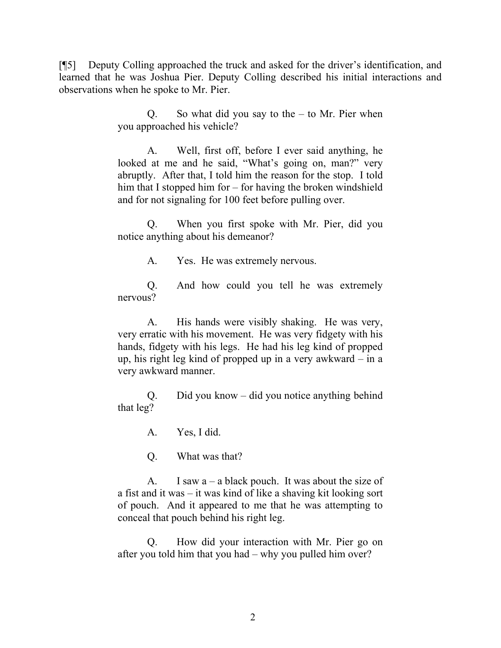[¶5] Deputy Colling approached the truck and asked for the driver's identification, and learned that he was Joshua Pier. Deputy Colling described his initial interactions and observations when he spoke to Mr. Pier.

> Q. So what did you say to the  $-$  to Mr. Pier when you approached his vehicle?

> A. Well, first off, before I ever said anything, he looked at me and he said, "What's going on, man?" very abruptly. After that, I told him the reason for the stop. I told him that I stopped him for – for having the broken windshield and for not signaling for 100 feet before pulling over.

> Q. When you first spoke with Mr. Pier, did you notice anything about his demeanor?

> > A. Yes. He was extremely nervous.

Q. And how could you tell he was extremely nervous?

A. His hands were visibly shaking. He was very, very erratic with his movement. He was very fidgety with his hands, fidgety with his legs. He had his leg kind of propped up, his right leg kind of propped up in a very awkward – in a very awkward manner.

Q. Did you know – did you notice anything behind that leg?

A. Yes, I did.

Q. What was that?

A. I saw  $a - a$  black pouch. It was about the size of a fist and it was – it was kind of like a shaving kit looking sort of pouch. And it appeared to me that he was attempting to conceal that pouch behind his right leg.

Q. How did your interaction with Mr. Pier go on after you told him that you had – why you pulled him over?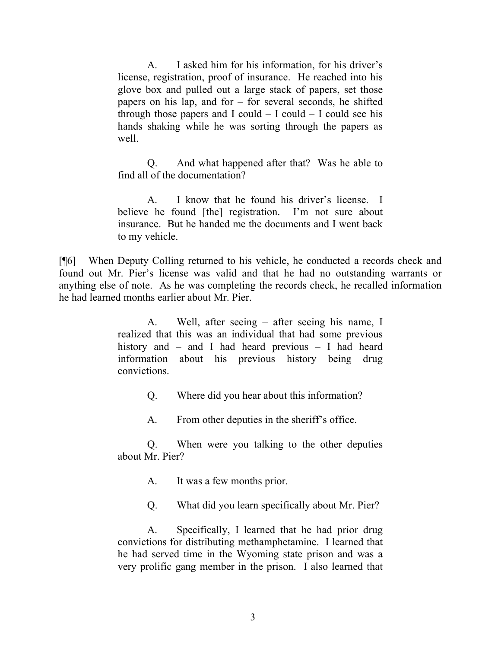A. I asked him for his information, for his driver's license, registration, proof of insurance. He reached into his glove box and pulled out a large stack of papers, set those papers on his lap, and for – for several seconds, he shifted through those papers and I could  $-$  I could  $-$  I could see his hands shaking while he was sorting through the papers as well.

Q. And what happened after that? Was he able to find all of the documentation?

A. I know that he found his driver's license. I believe he found [the] registration. I'm not sure about insurance. But he handed me the documents and I went back to my vehicle.

[¶6] When Deputy Colling returned to his vehicle, he conducted a records check and found out Mr. Pier's license was valid and that he had no outstanding warrants or anything else of note. As he was completing the records check, he recalled information he had learned months earlier about Mr. Pier.

> A. Well, after seeing – after seeing his name, I realized that this was an individual that had some previous history and – and I had heard previous – I had heard information about his previous history being drug convictions.

> > Q. Where did you hear about this information?

A. From other deputies in the sheriff's office.

Q. When were you talking to the other deputies about Mr. Pier?

A. It was a few months prior.

Q. What did you learn specifically about Mr. Pier?

A. Specifically, I learned that he had prior drug convictions for distributing methamphetamine. I learned that he had served time in the Wyoming state prison and was a very prolific gang member in the prison. I also learned that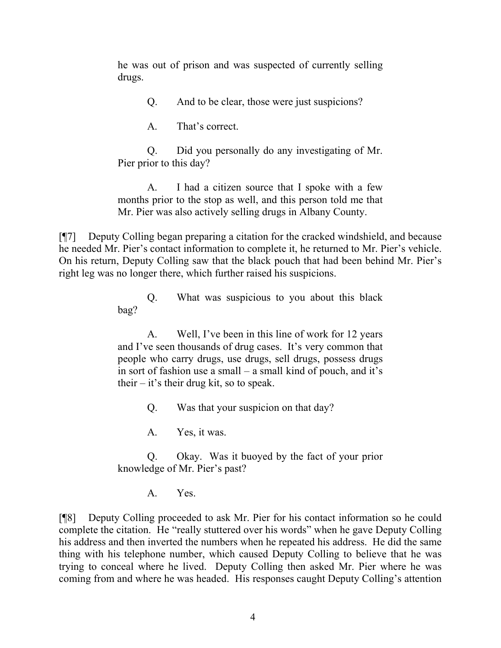he was out of prison and was suspected of currently selling drugs.

Q. And to be clear, those were just suspicions?

A. That's correct.

Q. Did you personally do any investigating of Mr. Pier prior to this day?

A. I had a citizen source that I spoke with a few months prior to the stop as well, and this person told me that Mr. Pier was also actively selling drugs in Albany County.

[¶7] Deputy Colling began preparing a citation for the cracked windshield, and because he needed Mr. Pier's contact information to complete it, he returned to Mr. Pier's vehicle. On his return, Deputy Colling saw that the black pouch that had been behind Mr. Pier's right leg was no longer there, which further raised his suspicions.

> Q. What was suspicious to you about this black bag?

> A. Well, I've been in this line of work for 12 years and I've seen thousands of drug cases. It's very common that people who carry drugs, use drugs, sell drugs, possess drugs in sort of fashion use a small – a small kind of pouch, and it's their  $-$  it's their drug kit, so to speak.

> > Q. Was that your suspicion on that day?

A. Yes, it was.

Q. Okay. Was it buoyed by the fact of your prior knowledge of Mr. Pier's past?

A. Yes.

[¶8] Deputy Colling proceeded to ask Mr. Pier for his contact information so he could complete the citation. He "really stuttered over his words" when he gave Deputy Colling his address and then inverted the numbers when he repeated his address. He did the same thing with his telephone number, which caused Deputy Colling to believe that he was trying to conceal where he lived. Deputy Colling then asked Mr. Pier where he was coming from and where he was headed. His responses caught Deputy Colling's attention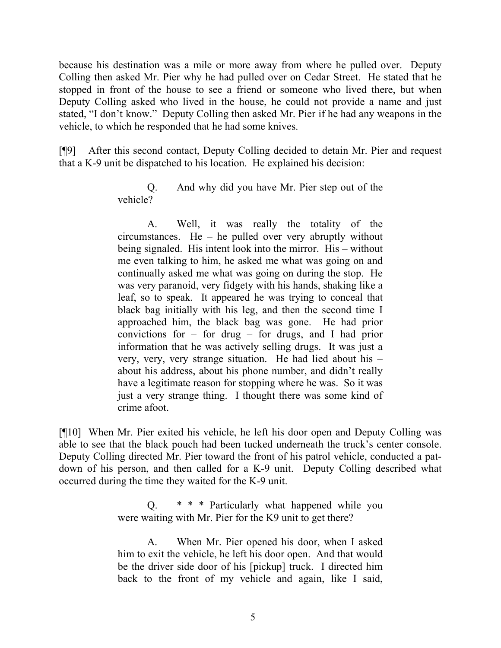because his destination was a mile or more away from where he pulled over. Deputy Colling then asked Mr. Pier why he had pulled over on Cedar Street. He stated that he stopped in front of the house to see a friend or someone who lived there, but when Deputy Colling asked who lived in the house, he could not provide a name and just stated, "I don't know." Deputy Colling then asked Mr. Pier if he had any weapons in the vehicle, to which he responded that he had some knives.

[¶9] After this second contact, Deputy Colling decided to detain Mr. Pier and request that a K-9 unit be dispatched to his location. He explained his decision:

> Q. And why did you have Mr. Pier step out of the vehicle?

> A. Well, it was really the totality of the circumstances. He – he pulled over very abruptly without being signaled. His intent look into the mirror. His – without me even talking to him, he asked me what was going on and continually asked me what was going on during the stop. He was very paranoid, very fidgety with his hands, shaking like a leaf, so to speak. It appeared he was trying to conceal that black bag initially with his leg, and then the second time I approached him, the black bag was gone. He had prior convictions for – for drug – for drugs, and I had prior information that he was actively selling drugs. It was just a very, very, very strange situation. He had lied about his – about his address, about his phone number, and didn't really have a legitimate reason for stopping where he was. So it was just a very strange thing. I thought there was some kind of crime afoot.

[¶10] When Mr. Pier exited his vehicle, he left his door open and Deputy Colling was able to see that the black pouch had been tucked underneath the truck's center console. Deputy Colling directed Mr. Pier toward the front of his patrol vehicle, conducted a patdown of his person, and then called for a K-9 unit. Deputy Colling described what occurred during the time they waited for the K-9 unit.

> Q. \* \* \* Particularly what happened while you were waiting with Mr. Pier for the K9 unit to get there?

> A. When Mr. Pier opened his door, when I asked him to exit the vehicle, he left his door open. And that would be the driver side door of his [pickup] truck. I directed him back to the front of my vehicle and again, like I said,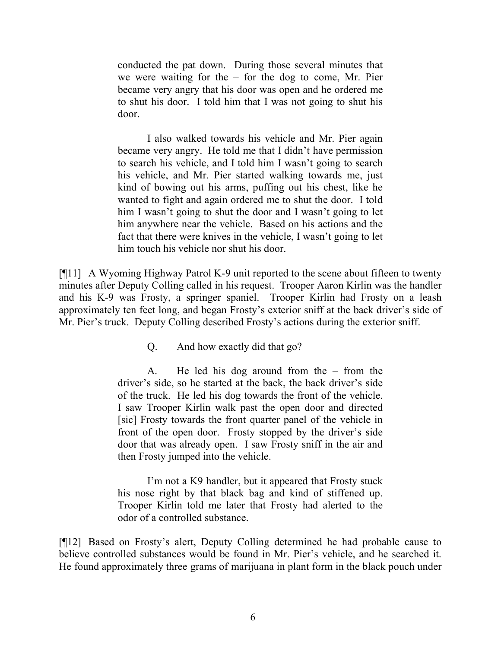conducted the pat down. During those several minutes that we were waiting for the  $-$  for the dog to come, Mr. Pier became very angry that his door was open and he ordered me to shut his door. I told him that I was not going to shut his door.

I also walked towards his vehicle and Mr. Pier again became very angry. He told me that I didn't have permission to search his vehicle, and I told him I wasn't going to search his vehicle, and Mr. Pier started walking towards me, just kind of bowing out his arms, puffing out his chest, like he wanted to fight and again ordered me to shut the door. I told him I wasn't going to shut the door and I wasn't going to let him anywhere near the vehicle. Based on his actions and the fact that there were knives in the vehicle, I wasn't going to let him touch his vehicle nor shut his door.

[¶11] A Wyoming Highway Patrol K-9 unit reported to the scene about fifteen to twenty minutes after Deputy Colling called in his request. Trooper Aaron Kirlin was the handler and his K-9 was Frosty, a springer spaniel. Trooper Kirlin had Frosty on a leash approximately ten feet long, and began Frosty's exterior sniff at the back driver's side of Mr. Pier's truck. Deputy Colling described Frosty's actions during the exterior sniff.

Q. And how exactly did that go?

A. He led his dog around from the – from the driver's side, so he started at the back, the back driver's side of the truck. He led his dog towards the front of the vehicle. I saw Trooper Kirlin walk past the open door and directed [sic] Frosty towards the front quarter panel of the vehicle in front of the open door. Frosty stopped by the driver's side door that was already open. I saw Frosty sniff in the air and then Frosty jumped into the vehicle.

I'm not a K9 handler, but it appeared that Frosty stuck his nose right by that black bag and kind of stiffened up. Trooper Kirlin told me later that Frosty had alerted to the odor of a controlled substance.

[¶12] Based on Frosty's alert, Deputy Colling determined he had probable cause to believe controlled substances would be found in Mr. Pier's vehicle, and he searched it. He found approximately three grams of marijuana in plant form in the black pouch under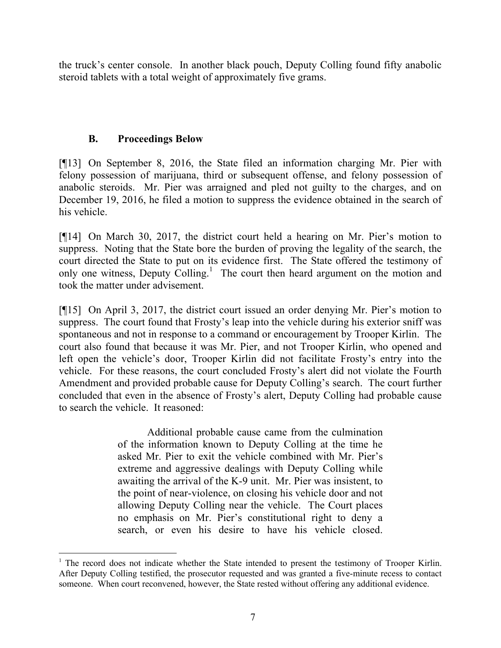the truck's center console. In another black pouch, Deputy Colling found fifty anabolic steroid tablets with a total weight of approximately five grams.

# **B. Proceedings Below**

l

[¶13] On September 8, 2016, the State filed an information charging Mr. Pier with felony possession of marijuana, third or subsequent offense, and felony possession of anabolic steroids. Mr. Pier was arraigned and pled not guilty to the charges, and on December 19, 2016, he filed a motion to suppress the evidence obtained in the search of his vehicle.

[¶14] On March 30, 2017, the district court held a hearing on Mr. Pier's motion to suppress. Noting that the State bore the burden of proving the legality of the search, the court directed the State to put on its evidence first. The State offered the testimony of only one witness, Deputy Colling.<sup>1</sup> The court then heard argument on the motion and took the matter under advisement.

[¶15] On April 3, 2017, the district court issued an order denying Mr. Pier's motion to suppress. The court found that Frosty's leap into the vehicle during his exterior sniff was spontaneous and not in response to a command or encouragement by Trooper Kirlin. The court also found that because it was Mr. Pier, and not Trooper Kirlin, who opened and left open the vehicle's door, Trooper Kirlin did not facilitate Frosty's entry into the vehicle. For these reasons, the court concluded Frosty's alert did not violate the Fourth Amendment and provided probable cause for Deputy Colling's search. The court further concluded that even in the absence of Frosty's alert, Deputy Colling had probable cause to search the vehicle. It reasoned:

> Additional probable cause came from the culmination of the information known to Deputy Colling at the time he asked Mr. Pier to exit the vehicle combined with Mr. Pier's extreme and aggressive dealings with Deputy Colling while awaiting the arrival of the K-9 unit. Mr. Pier was insistent, to the point of near-violence, on closing his vehicle door and not allowing Deputy Colling near the vehicle. The Court places no emphasis on Mr. Pier's constitutional right to deny a search, or even his desire to have his vehicle closed.

<sup>&</sup>lt;sup>1</sup> The record does not indicate whether the State intended to present the testimony of Trooper Kirlin. After Deputy Colling testified, the prosecutor requested and was granted a five-minute recess to contact someone. When court reconvened, however, the State rested without offering any additional evidence.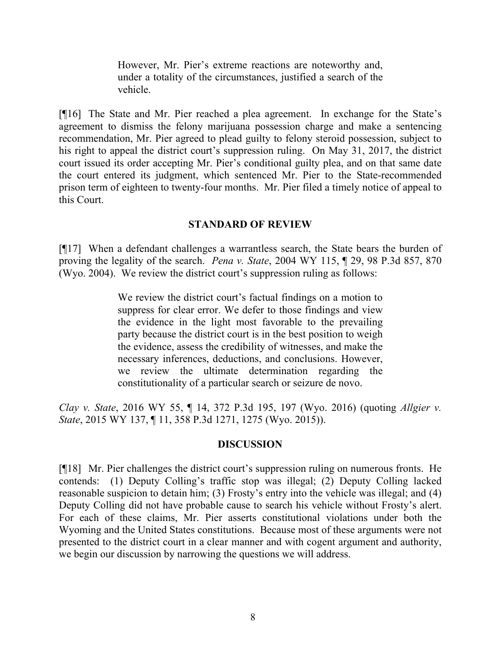However, Mr. Pier's extreme reactions are noteworthy and, under a totality of the circumstances, justified a search of the vehicle.

[¶16] The State and Mr. Pier reached a plea agreement. In exchange for the State's agreement to dismiss the felony marijuana possession charge and make a sentencing recommendation, Mr. Pier agreed to plead guilty to felony steroid possession, subject to his right to appeal the district court's suppression ruling. On May 31, 2017, the district court issued its order accepting Mr. Pier's conditional guilty plea, and on that same date the court entered its judgment, which sentenced Mr. Pier to the State-recommended prison term of eighteen to twenty-four months. Mr. Pier filed a timely notice of appeal to this Court.

## **STANDARD OF REVIEW**

[¶17] When a defendant challenges a warrantless search, the State bears the burden of proving the legality of the search. *Pena v. State*, 2004 WY 115, ¶ 29, 98 P.3d 857, 870 (Wyo. 2004). We review the district court's suppression ruling as follows:

> We review the district court's factual findings on a motion to suppress for clear error. We defer to those findings and view the evidence in the light most favorable to the prevailing party because the district court is in the best position to weigh the evidence, assess the credibility of witnesses, and make the necessary inferences, deductions, and conclusions. However, we review the ultimate determination regarding the constitutionality of a particular search or seizure de novo.

*Clay v. State*, 2016 WY 55, ¶ 14, 372 P.3d 195, 197 (Wyo. 2016) (quoting *Allgier v. State*, 2015 WY 137, ¶ 11, 358 P.3d 1271, 1275 (Wyo. 2015)).

### **DISCUSSION**

[¶18] Mr. Pier challenges the district court's suppression ruling on numerous fronts. He contends: (1) Deputy Colling's traffic stop was illegal; (2) Deputy Colling lacked reasonable suspicion to detain him; (3) Frosty's entry into the vehicle was illegal; and (4) Deputy Colling did not have probable cause to search his vehicle without Frosty's alert. For each of these claims, Mr. Pier asserts constitutional violations under both the Wyoming and the United States constitutions. Because most of these arguments were not presented to the district court in a clear manner and with cogent argument and authority, we begin our discussion by narrowing the questions we will address.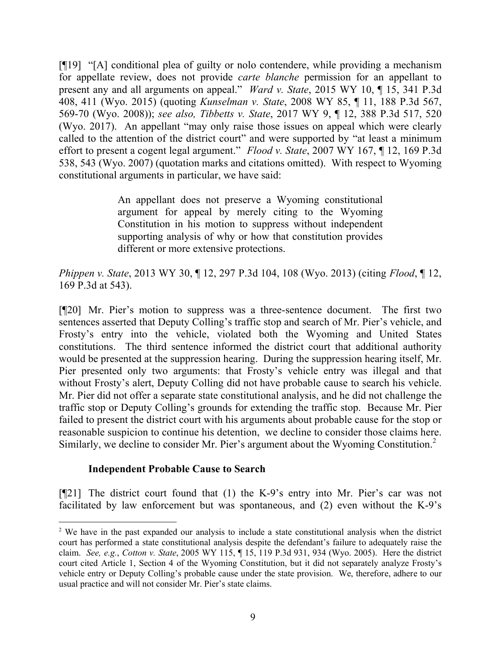[¶19] "[A] conditional plea of guilty or nolo contendere, while providing a mechanism for appellate review, does not provide *carte blanche* permission for an appellant to present any and all arguments on appeal." *Ward v. State*, 2015 WY 10, ¶ 15, 341 P.3d 408, 411 (Wyo. 2015) (quoting *Kunselman v. State*, 2008 WY 85, ¶ 11, 188 P.3d 567, 569-70 (Wyo. 2008)); *see also, Tibbetts v. State*, 2017 WY 9, ¶ 12, 388 P.3d 517, 520 (Wyo. 2017). An appellant "may only raise those issues on appeal which were clearly called to the attention of the district court" and were supported by "at least a minimum effort to present a cogent legal argument." *Flood v. State*, 2007 WY 167, ¶ 12, 169 P.3d 538, 543 (Wyo. 2007) (quotation marks and citations omitted). With respect to Wyoming constitutional arguments in particular, we have said:

> An appellant does not preserve a Wyoming constitutional argument for appeal by merely citing to the Wyoming Constitution in his motion to suppress without independent supporting analysis of why or how that constitution provides different or more extensive protections.

*Phippen v. State*, 2013 WY 30, ¶ 12, 297 P.3d 104, 108 (Wyo. 2013) (citing *Flood*, ¶ 12, 169 P.3d at 543).

[¶20] Mr. Pier's motion to suppress was a three-sentence document. The first two sentences asserted that Deputy Colling's traffic stop and search of Mr. Pier's vehicle, and Frosty's entry into the vehicle, violated both the Wyoming and United States constitutions. The third sentence informed the district court that additional authority would be presented at the suppression hearing. During the suppression hearing itself, Mr. Pier presented only two arguments: that Frosty's vehicle entry was illegal and that without Frosty's alert, Deputy Colling did not have probable cause to search his vehicle. Mr. Pier did not offer a separate state constitutional analysis, and he did not challenge the traffic stop or Deputy Colling's grounds for extending the traffic stop. Because Mr. Pier failed to present the district court with his arguments about probable cause for the stop or reasonable suspicion to continue his detention, we decline to consider those claims here. Similarly, we decline to consider Mr. Pier's argument about the Wyoming Constitution.<sup>2</sup>

## **Independent Probable Cause to Search**

[¶21] The district court found that (1) the K-9's entry into Mr. Pier's car was not facilitated by law enforcement but was spontaneous, and (2) even without the K-9's

<sup>&</sup>lt;sup>2</sup> We have in the past expanded our analysis to include a state constitutional analysis when the district court has performed a state constitutional analysis despite the defendant's failure to adequately raise the claim. *See, e.g.*, *Cotton v. State*, 2005 WY 115, ¶ 15, 119 P.3d 931, 934 (Wyo. 2005). Here the district court cited Article 1, Section 4 of the Wyoming Constitution, but it did not separately analyze Frosty's vehicle entry or Deputy Colling's probable cause under the state provision. We, therefore, adhere to our usual practice and will not consider Mr. Pier's state claims.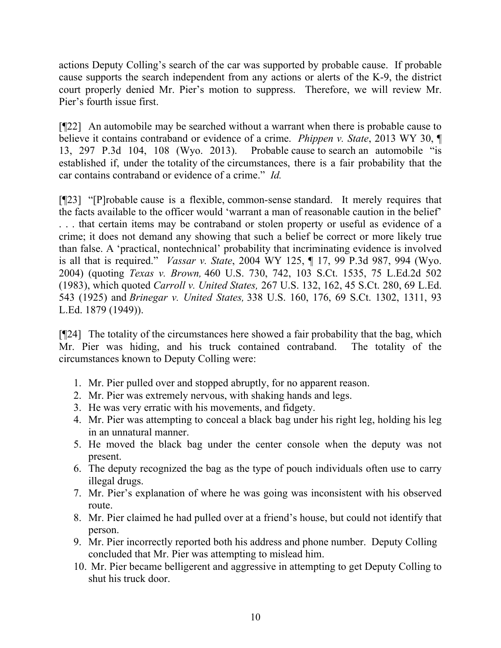actions Deputy Colling's search of the car was supported by probable cause. If probable cause supports the search independent from any actions or alerts of the K-9, the district court properly denied Mr. Pier's motion to suppress. Therefore, we will review Mr. Pier's fourth issue first.

[¶22] An automobile may be searched without a warrant when there is probable cause to believe it contains contraband or evidence of a crime. *Phippen v. State*, 2013 WY 30, ¶ 13, 297 P.3d 104, 108 (Wyo. 2013). Probable cause to search an automobile "is established if, under the totality of the circumstances, there is a fair probability that the car contains contraband or evidence of a crime." *Id.*

[¶23] "[P]robable cause is a flexible, common-sense standard. It merely requires that the facts available to the officer would 'warrant a man of reasonable caution in the belief' . . . that certain items may be contraband or stolen property or useful as evidence of a crime; it does not demand any showing that such a belief be correct or more likely true than false. A 'practical, nontechnical' probability that incriminating evidence is involved is all that is required." *Vassar v. State*, 2004 WY 125, ¶ 17, 99 P.3d 987, 994 (Wyo. 2004) (quoting *Texas v. Brown,* 460 U.S. 730, 742, 103 S.Ct. 1535, 75 L.Ed.2d 502 (1983), which quoted *Carroll v. United States,* 267 U.S. 132, 162, 45 S.Ct. 280, 69 L.Ed. 543 (1925) and *Brinegar v. United States,* 338 U.S. 160, 176, 69 S.Ct. 1302, 1311, 93 L.Ed. 1879 (1949)).

[¶24] The totality of the circumstances here showed a fair probability that the bag, which Mr. Pier was hiding, and his truck contained contraband. The totality of the circumstances known to Deputy Colling were:

- 1. Mr. Pier pulled over and stopped abruptly, for no apparent reason.
- 2. Mr. Pier was extremely nervous, with shaking hands and legs.
- 3. He was very erratic with his movements, and fidgety.
- 4. Mr. Pier was attempting to conceal a black bag under his right leg, holding his leg in an unnatural manner.
- 5. He moved the black bag under the center console when the deputy was not present.
- 6. The deputy recognized the bag as the type of pouch individuals often use to carry illegal drugs.
- 7. Mr. Pier's explanation of where he was going was inconsistent with his observed route.
- 8. Mr. Pier claimed he had pulled over at a friend's house, but could not identify that person.
- 9. Mr. Pier incorrectly reported both his address and phone number. Deputy Colling concluded that Mr. Pier was attempting to mislead him.
- 10. Mr. Pier became belligerent and aggressive in attempting to get Deputy Colling to shut his truck door.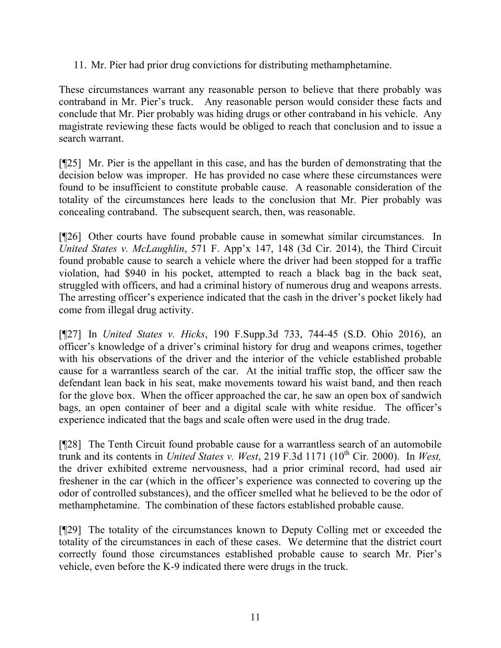11. Mr. Pier had prior drug convictions for distributing methamphetamine.

These circumstances warrant any reasonable person to believe that there probably was contraband in Mr. Pier's truck. Any reasonable person would consider these facts and conclude that Mr. Pier probably was hiding drugs or other contraband in his vehicle. Any magistrate reviewing these facts would be obliged to reach that conclusion and to issue a search warrant.

[¶25] Mr. Pier is the appellant in this case, and has the burden of demonstrating that the decision below was improper. He has provided no case where these circumstances were found to be insufficient to constitute probable cause. A reasonable consideration of the totality of the circumstances here leads to the conclusion that Mr. Pier probably was concealing contraband. The subsequent search, then, was reasonable.

[¶26] Other courts have found probable cause in somewhat similar circumstances. In *United States v. McLaughlin*, 571 F. App'x 147, 148 (3d Cir. 2014), the Third Circuit found probable cause to search a vehicle where the driver had been stopped for a traffic violation, had \$940 in his pocket, attempted to reach a black bag in the back seat, struggled with officers, and had a criminal history of numerous drug and weapons arrests. The arresting officer's experience indicated that the cash in the driver's pocket likely had come from illegal drug activity.

[¶27] In *United States v. Hicks*, 190 F.Supp.3d 733, 744-45 (S.D. Ohio 2016), an officer's knowledge of a driver's criminal history for drug and weapons crimes, together with his observations of the driver and the interior of the vehicle established probable cause for a warrantless search of the car. At the initial traffic stop, the officer saw the defendant lean back in his seat, make movements toward his waist band, and then reach for the glove box. When the officer approached the car, he saw an open box of sandwich bags, an open container of beer and a digital scale with white residue. The officer's experience indicated that the bags and scale often were used in the drug trade.

[¶28] The Tenth Circuit found probable cause for a warrantless search of an automobile trunk and its contents in *United States v. West*, 219 F.3d 1171 (10th Cir. 2000). In *West,* the driver exhibited extreme nervousness, had a prior criminal record, had used air freshener in the car (which in the officer's experience was connected to covering up the odor of controlled substances), and the officer smelled what he believed to be the odor of methamphetamine. The combination of these factors established probable cause.

[¶29] The totality of the circumstances known to Deputy Colling met or exceeded the totality of the circumstances in each of these cases. We determine that the district court correctly found those circumstances established probable cause to search Mr. Pier's vehicle, even before the K-9 indicated there were drugs in the truck.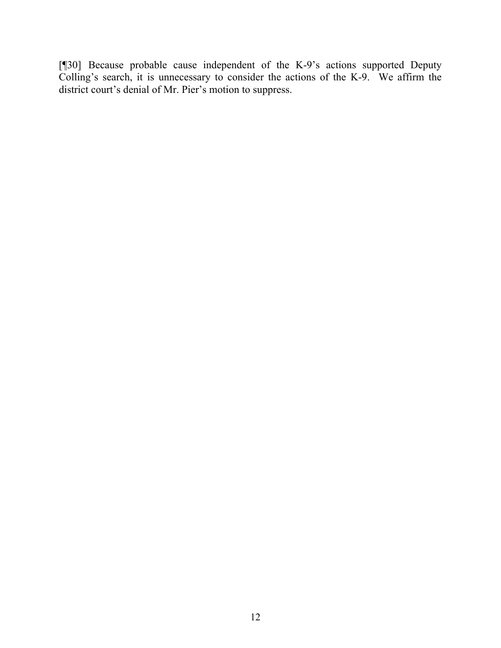[¶30] Because probable cause independent of the K-9's actions supported Deputy Colling's search, it is unnecessary to consider the actions of the K-9. We affirm the district court's denial of Mr. Pier's motion to suppress.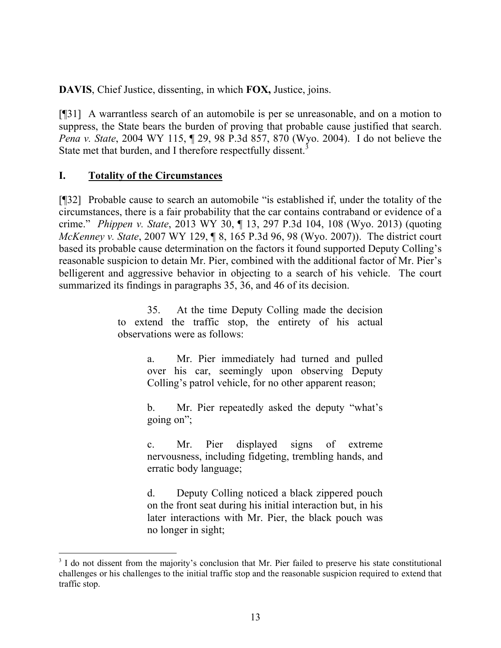**DAVIS**, Chief Justice, dissenting, in which **FOX,** Justice, joins.

[¶31] A warrantless search of an automobile is per se unreasonable, and on a motion to suppress, the State bears the burden of proving that probable cause justified that search. *Pena v. State*, 2004 WY 115, ¶ 29, 98 P.3d 857, 870 (Wyo. 2004). I do not believe the State met that burden, and I therefore respectfully dissent.<sup>3</sup>

### **I. Totality of the Circumstances**

l

[¶32] Probable cause to search an automobile "is established if, under the totality of the circumstances, there is a fair probability that the car contains contraband or evidence of a crime." *Phippen v. State*, 2013 WY 30, ¶ 13, 297 P.3d 104, 108 (Wyo. 2013) (quoting *McKenney v. State*, 2007 WY 129, ¶ 8, 165 P.3d 96, 98 (Wyo. 2007)). The district court based its probable cause determination on the factors it found supported Deputy Colling's reasonable suspicion to detain Mr. Pier, combined with the additional factor of Mr. Pier's belligerent and aggressive behavior in objecting to a search of his vehicle. The court summarized its findings in paragraphs 35, 36, and 46 of its decision.

> 35. At the time Deputy Colling made the decision to extend the traffic stop, the entirety of his actual observations were as follows:

> > a. Mr. Pier immediately had turned and pulled over his car, seemingly upon observing Deputy Colling's patrol vehicle, for no other apparent reason;

> > b. Mr. Pier repeatedly asked the deputy "what's going on";

> > c. Mr. Pier displayed signs of extreme nervousness, including fidgeting, trembling hands, and erratic body language;

> > d. Deputy Colling noticed a black zippered pouch on the front seat during his initial interaction but, in his later interactions with Mr. Pier, the black pouch was no longer in sight;

<sup>&</sup>lt;sup>3</sup> I do not dissent from the majority's conclusion that Mr. Pier failed to preserve his state constitutional challenges or his challenges to the initial traffic stop and the reasonable suspicion required to extend that traffic stop.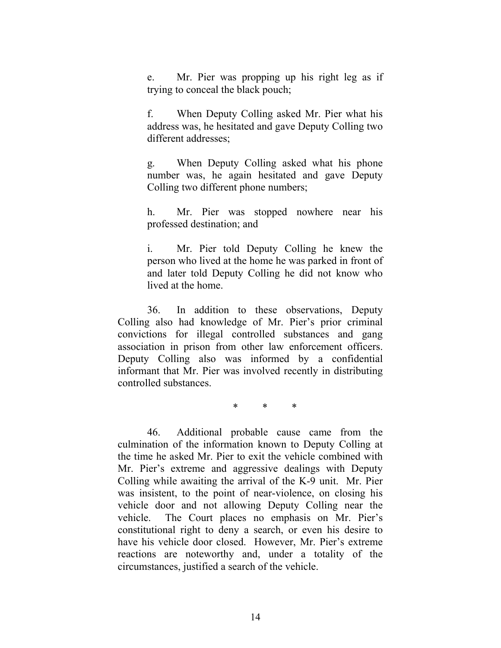e. Mr. Pier was propping up his right leg as if trying to conceal the black pouch;

f. When Deputy Colling asked Mr. Pier what his address was, he hesitated and gave Deputy Colling two different addresses;

g. When Deputy Colling asked what his phone number was, he again hesitated and gave Deputy Colling two different phone numbers;

h. Mr. Pier was stopped nowhere near his professed destination; and

i. Mr. Pier told Deputy Colling he knew the person who lived at the home he was parked in front of and later told Deputy Colling he did not know who lived at the home.

36. In addition to these observations, Deputy Colling also had knowledge of Mr. Pier's prior criminal convictions for illegal controlled substances and gang association in prison from other law enforcement officers. Deputy Colling also was informed by a confidential informant that Mr. Pier was involved recently in distributing controlled substances.

\* \* \*

46. Additional probable cause came from the culmination of the information known to Deputy Colling at the time he asked Mr. Pier to exit the vehicle combined with Mr. Pier's extreme and aggressive dealings with Deputy Colling while awaiting the arrival of the K-9 unit. Mr. Pier was insistent, to the point of near-violence, on closing his vehicle door and not allowing Deputy Colling near the vehicle. The Court places no emphasis on Mr. Pier's constitutional right to deny a search, or even his desire to have his vehicle door closed. However, Mr. Pier's extreme reactions are noteworthy and, under a totality of the circumstances, justified a search of the vehicle.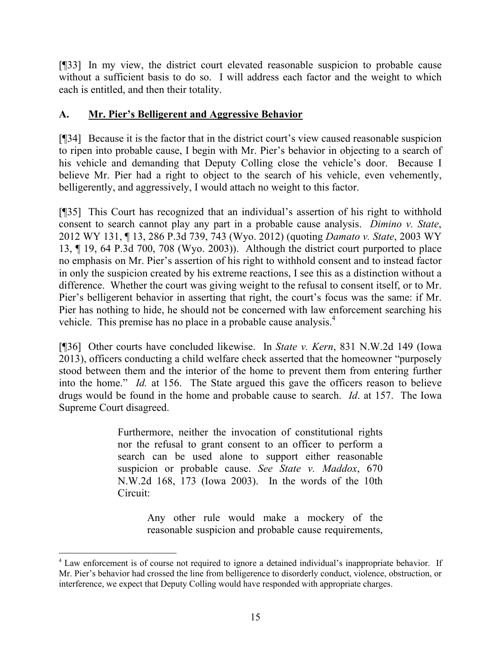[¶33] In my view, the district court elevated reasonable suspicion to probable cause without a sufficient basis to do so. I will address each factor and the weight to which each is entitled, and then their totality.

## **A. Mr. Pier's Belligerent and Aggressive Behavior**

[¶34] Because it is the factor that in the district court's view caused reasonable suspicion to ripen into probable cause, I begin with Mr. Pier's behavior in objecting to a search of his vehicle and demanding that Deputy Colling close the vehicle's door. Because I believe Mr. Pier had a right to object to the search of his vehicle, even vehemently, belligerently, and aggressively, I would attach no weight to this factor.

[¶35] This Court has recognized that an individual's assertion of his right to withhold consent to search cannot play any part in a probable cause analysis. *Dimino v. State*, 2012 WY 131, ¶ 13, 286 P.3d 739, 743 (Wyo. 2012) (quoting *Damato v. State*, 2003 WY 13, ¶ 19, 64 P.3d 700, 708 (Wyo. 2003)). Although the district court purported to place no emphasis on Mr. Pier's assertion of his right to withhold consent and to instead factor in only the suspicion created by his extreme reactions, I see this as a distinction without a difference. Whether the court was giving weight to the refusal to consent itself, or to Mr. Pier's belligerent behavior in asserting that right, the court's focus was the same: if Mr. Pier has nothing to hide, he should not be concerned with law enforcement searching his vehicle. This premise has no place in a probable cause analysis.<sup>4</sup>

[¶36] Other courts have concluded likewise. In *State v. Kern*, 831 N.W.2d 149 (Iowa 2013), officers conducting a child welfare check asserted that the homeowner "purposely stood between them and the interior of the home to prevent them from entering further into the home." *Id.* at 156. The State argued this gave the officers reason to believe drugs would be found in the home and probable cause to search. *Id*. at 157. The Iowa Supreme Court disagreed.

> Furthermore, neither the invocation of constitutional rights nor the refusal to grant consent to an officer to perform a search can be used alone to support either reasonable suspicion or probable cause. *See State v. Maddox*, 670 N.W.2d 168, 173 (Iowa 2003). In the words of the 10th Circuit:

> > Any other rule would make a mockery of the reasonable suspicion and probable cause requirements,

l

<sup>&</sup>lt;sup>4</sup> Law enforcement is of course not required to ignore a detained individual's inappropriate behavior. If Mr. Pier's behavior had crossed the line from belligerence to disorderly conduct, violence, obstruction, or interference, we expect that Deputy Colling would have responded with appropriate charges.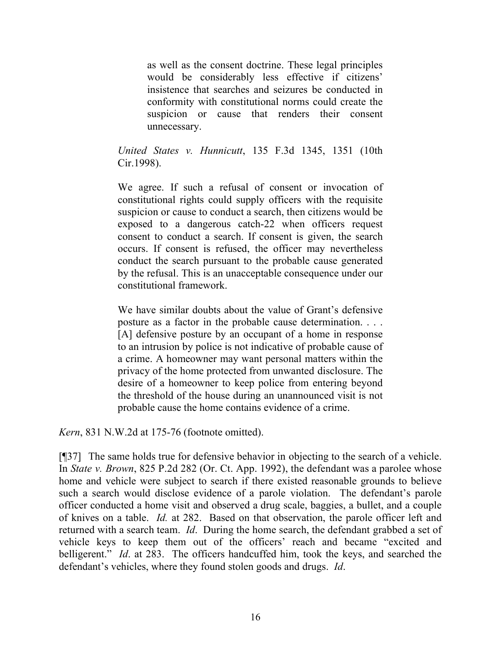as well as the consent doctrine. These legal principles would be considerably less effective if citizens' insistence that searches and seizures be conducted in conformity with constitutional norms could create the suspicion or cause that renders their consent unnecessary.

*United States v. Hunnicutt*, 135 F.3d 1345, 1351 (10th Cir.1998).

We agree. If such a refusal of consent or invocation of constitutional rights could supply officers with the requisite suspicion or cause to conduct a search, then citizens would be exposed to a dangerous catch-22 when officers request consent to conduct a search. If consent is given, the search occurs. If consent is refused, the officer may nevertheless conduct the search pursuant to the probable cause generated by the refusal. This is an unacceptable consequence under our constitutional framework.

We have similar doubts about the value of Grant's defensive posture as a factor in the probable cause determination. . . . [A] defensive posture by an occupant of a home in response to an intrusion by police is not indicative of probable cause of a crime. A homeowner may want personal matters within the privacy of the home protected from unwanted disclosure. The desire of a homeowner to keep police from entering beyond the threshold of the house during an unannounced visit is not probable cause the home contains evidence of a crime.

*Kern*, 831 N.W.2d at 175-76 (footnote omitted).

[¶37] The same holds true for defensive behavior in objecting to the search of a vehicle. In *State v. Brown*, 825 P.2d 282 (Or. Ct. App. 1992), the defendant was a parolee whose home and vehicle were subject to search if there existed reasonable grounds to believe such a search would disclose evidence of a parole violation. The defendant's parole officer conducted a home visit and observed a drug scale, baggies, a bullet, and a couple of knives on a table. *Id.* at 282. Based on that observation, the parole officer left and returned with a search team. *Id*. During the home search, the defendant grabbed a set of vehicle keys to keep them out of the officers' reach and became "excited and belligerent." *Id.* at 283. The officers handcuffed him, took the keys, and searched the defendant's vehicles, where they found stolen goods and drugs. *Id*.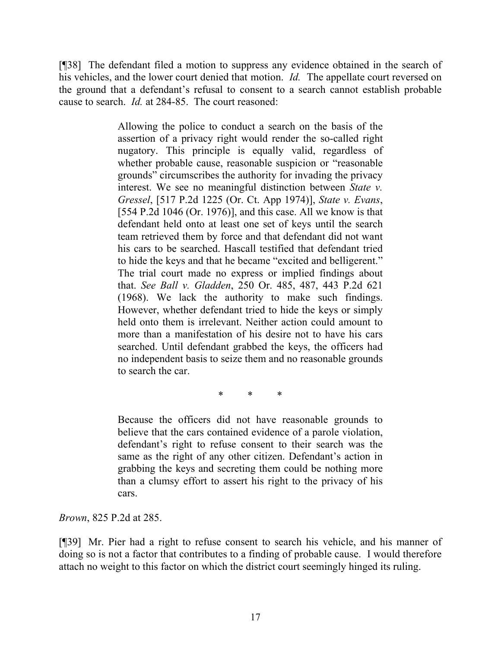[¶38] The defendant filed a motion to suppress any evidence obtained in the search of his vehicles, and the lower court denied that motion. *Id.* The appellate court reversed on the ground that a defendant's refusal to consent to a search cannot establish probable cause to search. *Id.* at 284-85. The court reasoned:

> Allowing the police to conduct a search on the basis of the assertion of a privacy right would render the so-called right nugatory. This principle is equally valid, regardless of whether probable cause, reasonable suspicion or "reasonable grounds" circumscribes the authority for invading the privacy interest. We see no meaningful distinction between *State v. Gressel*, [517 P.2d 1225 (Or. Ct. App 1974)], *State v. Evans*, [554 P.2d 1046 (Or. 1976)], and this case. All we know is that defendant held onto at least one set of keys until the search team retrieved them by force and that defendant did not want his cars to be searched. Hascall testified that defendant tried to hide the keys and that he became "excited and belligerent." The trial court made no express or implied findings about that. *See Ball v. Gladden*, 250 Or. 485, 487, 443 P.2d 621 (1968). We lack the authority to make such findings. However, whether defendant tried to hide the keys or simply held onto them is irrelevant. Neither action could amount to more than a manifestation of his desire not to have his cars searched. Until defendant grabbed the keys, the officers had no independent basis to seize them and no reasonable grounds to search the car.

> > \* \* \*

Because the officers did not have reasonable grounds to believe that the cars contained evidence of a parole violation, defendant's right to refuse consent to their search was the same as the right of any other citizen. Defendant's action in grabbing the keys and secreting them could be nothing more than a clumsy effort to assert his right to the privacy of his cars.

*Brown*, 825 P.2d at 285.

[¶39] Mr. Pier had a right to refuse consent to search his vehicle, and his manner of doing so is not a factor that contributes to a finding of probable cause. I would therefore attach no weight to this factor on which the district court seemingly hinged its ruling.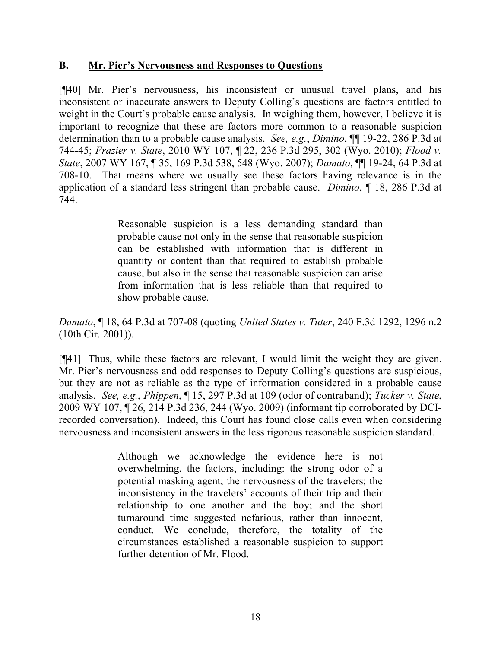## **B. Mr. Pier's Nervousness and Responses to Questions**

[¶40] Mr. Pier's nervousness, his inconsistent or unusual travel plans, and his inconsistent or inaccurate answers to Deputy Colling's questions are factors entitled to weight in the Court's probable cause analysis. In weighing them, however, I believe it is important to recognize that these are factors more common to a reasonable suspicion determination than to a probable cause analysis. *See, e.g.*, *Dimino*, ¶¶ 19-22, 286 P.3d at 744-45; *Frazier v. State*, 2010 WY 107, ¶ 22, 236 P.3d 295, 302 (Wyo. 2010); *Flood v. State*, 2007 WY 167, ¶ 35, 169 P.3d 538, 548 (Wyo. 2007); *Damato*, ¶¶ 19-24, 64 P.3d at 708-10. That means where we usually see these factors having relevance is in the application of a standard less stringent than probable cause. *Dimino*, ¶ 18, 286 P.3d at 744.

> Reasonable suspicion is a less demanding standard than probable cause not only in the sense that reasonable suspicion can be established with information that is different in quantity or content than that required to establish probable cause, but also in the sense that reasonable suspicion can arise from information that is less reliable than that required to show probable cause.

*Damato*, ¶ 18, 64 P.3d at 707-08 (quoting *United States v. Tuter*, 240 F.3d 1292, 1296 n.2 (10th Cir. 2001)).

[¶41] Thus, while these factors are relevant, I would limit the weight they are given. Mr. Pier's nervousness and odd responses to Deputy Colling's questions are suspicious, but they are not as reliable as the type of information considered in a probable cause analysis. *See, e.g.*, *Phippen*, ¶ 15, 297 P.3d at 109 (odor of contraband); *Tucker v. State*, 2009 WY 107, ¶ 26, 214 P.3d 236, 244 (Wyo. 2009) (informant tip corroborated by DCIrecorded conversation). Indeed, this Court has found close calls even when considering nervousness and inconsistent answers in the less rigorous reasonable suspicion standard.

> Although we acknowledge the evidence here is not overwhelming, the factors, including: the strong odor of a potential masking agent; the nervousness of the travelers; the inconsistency in the travelers' accounts of their trip and their relationship to one another and the boy; and the short turnaround time suggested nefarious, rather than innocent, conduct. We conclude, therefore, the totality of the circumstances established a reasonable suspicion to support further detention of Mr. Flood.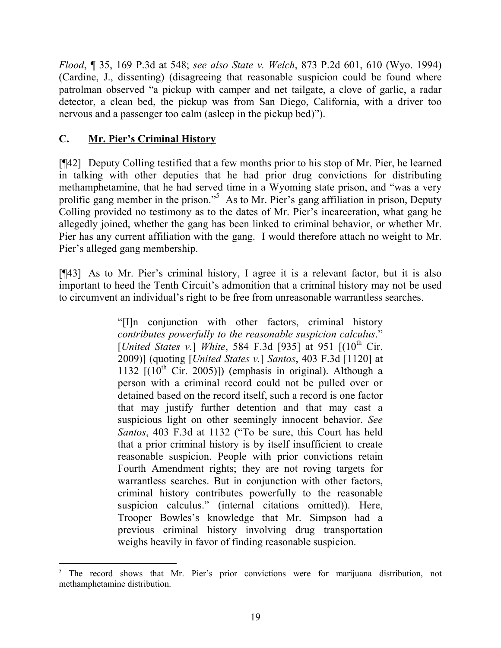*Flood*, ¶ 35, 169 P.3d at 548; *see also State v. Welch*, 873 P.2d 601, 610 (Wyo. 1994) (Cardine, J., dissenting) (disagreeing that reasonable suspicion could be found where patrolman observed "a pickup with camper and net tailgate, a clove of garlic, a radar detector, a clean bed, the pickup was from San Diego, California, with a driver too nervous and a passenger too calm (asleep in the pickup bed)").

# **C. Mr. Pier's Criminal History**

[¶42] Deputy Colling testified that a few months prior to his stop of Mr. Pier, he learned in talking with other deputies that he had prior drug convictions for distributing methamphetamine, that he had served time in a Wyoming state prison, and "was a very prolific gang member in the prison."<sup>5</sup> As to Mr. Pier's gang affiliation in prison, Deputy Colling provided no testimony as to the dates of Mr. Pier's incarceration, what gang he allegedly joined, whether the gang has been linked to criminal behavior, or whether Mr. Pier has any current affiliation with the gang. I would therefore attach no weight to Mr. Pier's alleged gang membership.

[¶43] As to Mr. Pier's criminal history, I agree it is a relevant factor, but it is also important to heed the Tenth Circuit's admonition that a criminal history may not be used to circumvent an individual's right to be free from unreasonable warrantless searches.

> "[I]n conjunction with other factors, criminal history *contributes powerfully to the reasonable suspicion calculus*." [*United States v.*] *White*, 584 F.3d [935] at 951 [(10<sup>th</sup> Cir. 2009)] (quoting [*United States v.*] *Santos*, 403 F.3d [1120] at 1132  $[(10<sup>th</sup> Cir. 2005)])$  (emphasis in original). Although a person with a criminal record could not be pulled over or detained based on the record itself, such a record is one factor that may justify further detention and that may cast a suspicious light on other seemingly innocent behavior. *See Santos*, 403 F.3d at 1132 ("To be sure, this Court has held that a prior criminal history is by itself insufficient to create reasonable suspicion. People with prior convictions retain Fourth Amendment rights; they are not roving targets for warrantless searches. But in conjunction with other factors, criminal history contributes powerfully to the reasonable suspicion calculus." (internal citations omitted)). Here, Trooper Bowles's knowledge that Mr. Simpson had a previous criminal history involving drug transportation weighs heavily in favor of finding reasonable suspicion.

<sup>5</sup> The record shows that Mr. Pier's prior convictions were for marijuana distribution, not methamphetamine distribution.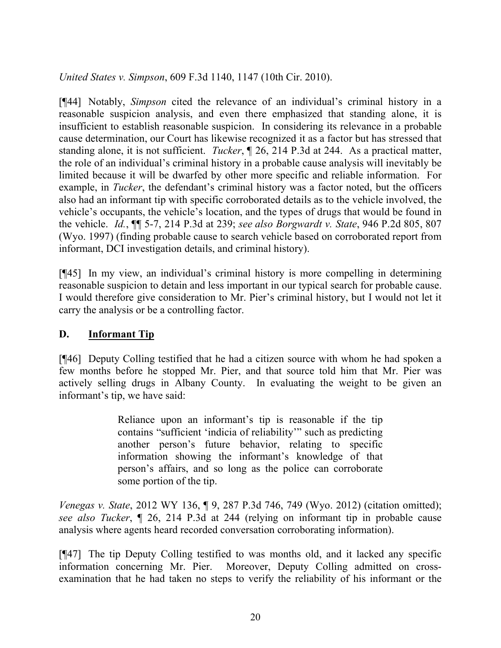*United States v. Simpson*, 609 F.3d 1140, 1147 (10th Cir. 2010).

[¶44] Notably, *Simpson* cited the relevance of an individual's criminal history in a reasonable suspicion analysis, and even there emphasized that standing alone, it is insufficient to establish reasonable suspicion. In considering its relevance in a probable cause determination, our Court has likewise recognized it as a factor but has stressed that standing alone, it is not sufficient. *Tucker*, ¶ 26, 214 P.3d at 244. As a practical matter, the role of an individual's criminal history in a probable cause analysis will inevitably be limited because it will be dwarfed by other more specific and reliable information. For example, in *Tucker*, the defendant's criminal history was a factor noted, but the officers also had an informant tip with specific corroborated details as to the vehicle involved, the vehicle's occupants, the vehicle's location, and the types of drugs that would be found in the vehicle. *Id.*, ¶¶ 5-7, 214 P.3d at 239; *see also Borgwardt v. State*, 946 P.2d 805, 807 (Wyo. 1997) (finding probable cause to search vehicle based on corroborated report from informant, DCI investigation details, and criminal history).

[¶45] In my view, an individual's criminal history is more compelling in determining reasonable suspicion to detain and less important in our typical search for probable cause. I would therefore give consideration to Mr. Pier's criminal history, but I would not let it carry the analysis or be a controlling factor.

# **D. Informant Tip**

[¶46] Deputy Colling testified that he had a citizen source with whom he had spoken a few months before he stopped Mr. Pier, and that source told him that Mr. Pier was actively selling drugs in Albany County. In evaluating the weight to be given an informant's tip, we have said:

> Reliance upon an informant's tip is reasonable if the tip contains "sufficient 'indicia of reliability'" such as predicting another person's future behavior, relating to specific information showing the informant's knowledge of that person's affairs, and so long as the police can corroborate some portion of the tip.

*Venegas v. State*, 2012 WY 136, ¶ 9, 287 P.3d 746, 749 (Wyo. 2012) (citation omitted); *see also Tucker*, ¶ 26, 214 P.3d at 244 (relying on informant tip in probable cause analysis where agents heard recorded conversation corroborating information).

[¶47] The tip Deputy Colling testified to was months old, and it lacked any specific information concerning Mr. Pier. Moreover, Deputy Colling admitted on crossexamination that he had taken no steps to verify the reliability of his informant or the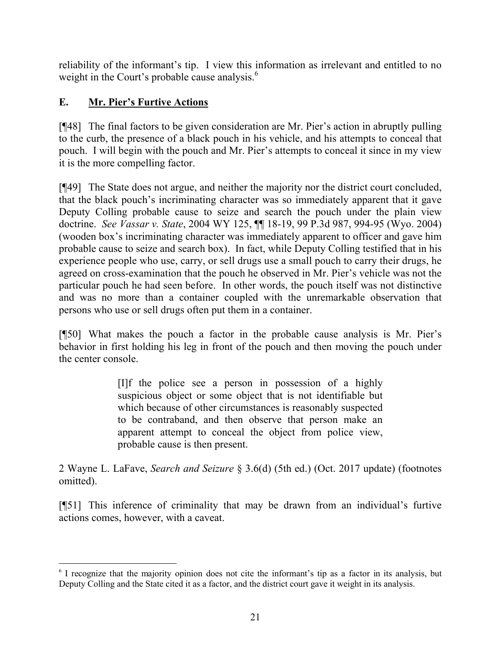reliability of the informant's tip. I view this information as irrelevant and entitled to no weight in the Court's probable cause analysis.<sup>6</sup>

# **E. Mr. Pier's Furtive Actions**

[¶48] The final factors to be given consideration are Mr. Pier's action in abruptly pulling to the curb, the presence of a black pouch in his vehicle, and his attempts to conceal that pouch. I will begin with the pouch and Mr. Pier's attempts to conceal it since in my view it is the more compelling factor.

[¶49] The State does not argue, and neither the majority nor the district court concluded, that the black pouch's incriminating character was so immediately apparent that it gave Deputy Colling probable cause to seize and search the pouch under the plain view doctrine. *See Vassar v. State*, 2004 WY 125, ¶¶ 18-19, 99 P.3d 987, 994-95 (Wyo. 2004) (wooden box's incriminating character was immediately apparent to officer and gave him probable cause to seize and search box). In fact, while Deputy Colling testified that in his experience people who use, carry, or sell drugs use a small pouch to carry their drugs, he agreed on cross-examination that the pouch he observed in Mr. Pier's vehicle was not the particular pouch he had seen before. In other words, the pouch itself was not distinctive and was no more than a container coupled with the unremarkable observation that persons who use or sell drugs often put them in a container.

[¶50] What makes the pouch a factor in the probable cause analysis is Mr. Pier's behavior in first holding his leg in front of the pouch and then moving the pouch under the center console.

> [I]f the police see a person in possession of a highly suspicious object or some object that is not identifiable but which because of other circumstances is reasonably suspected to be contraband, and then observe that person make an apparent attempt to conceal the object from police view, probable cause is then present.

2 Wayne L. LaFave, *Search and Seizure* § 3.6(d) (5th ed.) (Oct. 2017 update) (footnotes omitted).

[¶51] This inference of criminality that may be drawn from an individual's furtive actions comes, however, with a caveat.

<sup>&</sup>lt;sup>6</sup> I recognize that the majority opinion does not cite the informant's tip as a factor in its analysis, but Deputy Colling and the State cited it as a factor, and the district court gave it weight in its analysis.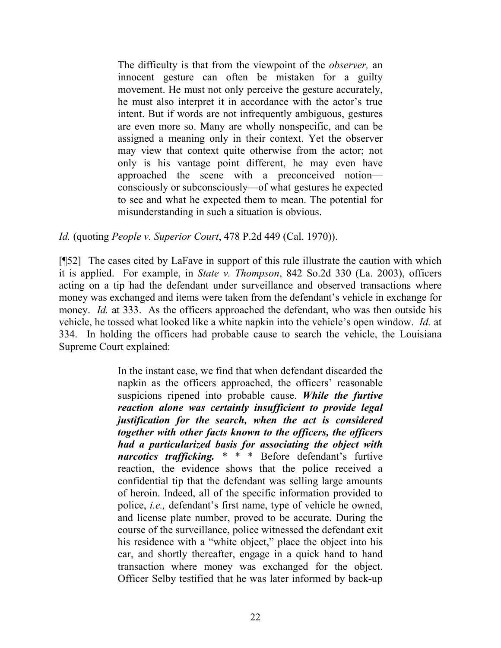The difficulty is that from the viewpoint of the *observer,* an innocent gesture can often be mistaken for a guilty movement. He must not only perceive the gesture accurately, he must also interpret it in accordance with the actor's true intent. But if words are not infrequently ambiguous, gestures are even more so. Many are wholly nonspecific, and can be assigned a meaning only in their context. Yet the observer may view that context quite otherwise from the actor; not only is his vantage point different, he may even have approached the scene with a preconceived notion consciously or subconsciously—of what gestures he expected to see and what he expected them to mean. The potential for misunderstanding in such a situation is obvious.

### *Id.* (quoting *People v. Superior Court*, 478 P.2d 449 (Cal. 1970)).

[¶52] The cases cited by LaFave in support of this rule illustrate the caution with which it is applied. For example, in *State v. Thompson*, 842 So.2d 330 (La. 2003), officers acting on a tip had the defendant under surveillance and observed transactions where money was exchanged and items were taken from the defendant's vehicle in exchange for money. *Id.* at 333. As the officers approached the defendant, who was then outside his vehicle, he tossed what looked like a white napkin into the vehicle's open window. *Id.* at 334. In holding the officers had probable cause to search the vehicle, the Louisiana Supreme Court explained:

> In the instant case, we find that when defendant discarded the napkin as the officers approached, the officers' reasonable suspicions ripened into probable cause. *While the furtive reaction alone was certainly insufficient to provide legal justification for the search, when the act is considered together with other facts known to the officers, the officers had a particularized basis for associating the object with narcotics trafficking.* \* \* \* Before defendant's furtive reaction, the evidence shows that the police received a confidential tip that the defendant was selling large amounts of heroin. Indeed, all of the specific information provided to police, *i.e.,* defendant's first name, type of vehicle he owned, and license plate number, proved to be accurate. During the course of the surveillance, police witnessed the defendant exit his residence with a "white object," place the object into his car, and shortly thereafter, engage in a quick hand to hand transaction where money was exchanged for the object. Officer Selby testified that he was later informed by back-up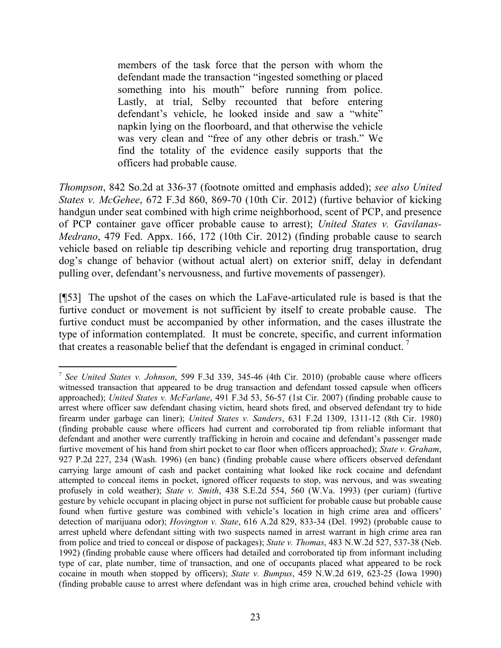members of the task force that the person with whom the defendant made the transaction "ingested something or placed something into his mouth" before running from police. Lastly, at trial, Selby recounted that before entering defendant's vehicle, he looked inside and saw a "white" napkin lying on the floorboard, and that otherwise the vehicle was very clean and "free of any other debris or trash." We find the totality of the evidence easily supports that the officers had probable cause.

*Thompson*, 842 So.2d at 336-37 (footnote omitted and emphasis added); *see also United States v. McGehee*, 672 F.3d 860, 869-70 (10th Cir. 2012) (furtive behavior of kicking handgun under seat combined with high crime neighborhood, scent of PCP, and presence of PCP container gave officer probable cause to arrest); *United States v. Gavilanas-Medrano*, 479 Fed. Appx. 166, 172 (10th Cir. 2012) (finding probable cause to search vehicle based on reliable tip describing vehicle and reporting drug transportation, drug dog's change of behavior (without actual alert) on exterior sniff, delay in defendant pulling over, defendant's nervousness, and furtive movements of passenger).

[¶53] The upshot of the cases on which the LaFave-articulated rule is based is that the furtive conduct or movement is not sufficient by itself to create probable cause. The furtive conduct must be accompanied by other information, and the cases illustrate the type of information contemplated. It must be concrete, specific, and current information that creates a reasonable belief that the defendant is engaged in criminal conduct.<sup>7</sup>

 $\overline{a}$ 7 *See United States v. Johnson*, 599 F.3d 339, 345-46 (4th Cir. 2010) (probable cause where officers witnessed transaction that appeared to be drug transaction and defendant tossed capsule when officers approached); *United States v. McFarlane*, 491 F.3d 53, 56-57 (1st Cir. 2007) (finding probable cause to arrest where officer saw defendant chasing victim, heard shots fired, and observed defendant try to hide firearm under garbage can liner); *United States v. Sanders*, 631 F.2d 1309, 1311-12 (8th Cir. 1980) (finding probable cause where officers had current and corroborated tip from reliable informant that defendant and another were currently trafficking in heroin and cocaine and defendant's passenger made furtive movement of his hand from shirt pocket to car floor when officers approached); *State v. Graham*, 927 P.2d 227, 234 (Wash. 1996) (en banc) (finding probable cause where officers observed defendant carrying large amount of cash and packet containing what looked like rock cocaine and defendant attempted to conceal items in pocket, ignored officer requests to stop, was nervous, and was sweating profusely in cold weather); *State v. Smith*, 438 S.E.2d 554, 560 (W.Va. 1993) (per curiam) (furtive gesture by vehicle occupant in placing object in purse not sufficient for probable cause but probable cause found when furtive gesture was combined with vehicle's location in high crime area and officers' detection of marijuana odor); *Hovington v. State*, 616 A.2d 829, 833-34 (Del. 1992) (probable cause to arrest upheld where defendant sitting with two suspects named in arrest warrant in high crime area ran from police and tried to conceal or dispose of packages); *State v. Thomas*, 483 N.W.2d 527, 537-38 (Neb. 1992) (finding probable cause where officers had detailed and corroborated tip from informant including type of car, plate number, time of transaction, and one of occupants placed what appeared to be rock cocaine in mouth when stopped by officers); *State v. Bumpus*, 459 N.W.2d 619, 623-25 (Iowa 1990) (finding probable cause to arrest where defendant was in high crime area, crouched behind vehicle with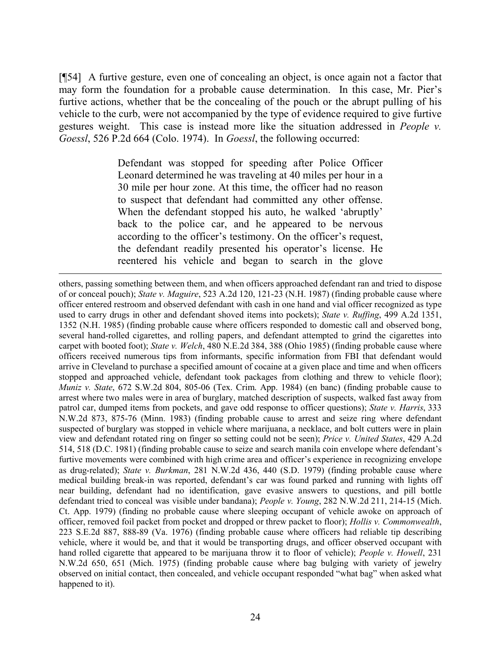[¶54] A furtive gesture, even one of concealing an object, is once again not a factor that may form the foundation for a probable cause determination. In this case, Mr. Pier's furtive actions, whether that be the concealing of the pouch or the abrupt pulling of his vehicle to the curb, were not accompanied by the type of evidence required to give furtive gestures weight. This case is instead more like the situation addressed in *People v. Goessl*, 526 P.2d 664 (Colo. 1974). In *Goessl*, the following occurred:

> Defendant was stopped for speeding after Police Officer Leonard determined he was traveling at 40 miles per hour in a 30 mile per hour zone. At this time, the officer had no reason to suspect that defendant had committed any other offense. When the defendant stopped his auto, he walked 'abruptly' back to the police car, and he appeared to be nervous according to the officer's testimony. On the officer's request, the defendant readily presented his operator's license. He reentered his vehicle and began to search in the glove

l

others, passing something between them, and when officers approached defendant ran and tried to dispose of or conceal pouch); *State v. Maguire*, 523 A.2d 120, 121-23 (N.H. 1987) (finding probable cause where officer entered restroom and observed defendant with cash in one hand and vial officer recognized as type used to carry drugs in other and defendant shoved items into pockets); *State v. Ruffing*, 499 A.2d 1351, 1352 (N.H. 1985) (finding probable cause where officers responded to domestic call and observed bong, several hand-rolled cigarettes, and rolling papers, and defendant attempted to grind the cigarettes into carpet with booted foot); *State v. Welch*, 480 N.E.2d 384, 388 (Ohio 1985) (finding probable cause where officers received numerous tips from informants, specific information from FBI that defendant would arrive in Cleveland to purchase a specified amount of cocaine at a given place and time and when officers stopped and approached vehicle, defendant took packages from clothing and threw to vehicle floor); *Muniz v. State*, 672 S.W.2d 804, 805-06 (Tex. Crim. App. 1984) (en banc) (finding probable cause to arrest where two males were in area of burglary, matched description of suspects, walked fast away from patrol car, dumped items from pockets, and gave odd response to officer questions); *State v. Harris*, 333 N.W.2d 873, 875-76 (Minn. 1983) (finding probable cause to arrest and seize ring where defendant suspected of burglary was stopped in vehicle where marijuana, a necklace, and bolt cutters were in plain view and defendant rotated ring on finger so setting could not be seen); *Price v. United States*, 429 A.2d 514, 518 (D.C. 1981) (finding probable cause to seize and search manila coin envelope where defendant's furtive movements were combined with high crime area and officer's experience in recognizing envelope as drug-related); *State v. Burkman*, 281 N.W.2d 436, 440 (S.D. 1979) (finding probable cause where medical building break-in was reported, defendant's car was found parked and running with lights off near building, defendant had no identification, gave evasive answers to questions, and pill bottle defendant tried to conceal was visible under bandana); *People v. Young*, 282 N.W.2d 211, 214-15 (Mich. Ct. App. 1979) (finding no probable cause where sleeping occupant of vehicle awoke on approach of officer, removed foil packet from pocket and dropped or threw packet to floor); *Hollis v. Commonwealth*, 223 S.E.2d 887, 888-89 (Va. 1976) (finding probable cause where officers had reliable tip describing vehicle, where it would be, and that it would be transporting drugs, and officer observed occupant with hand rolled cigarette that appeared to be marijuana throw it to floor of vehicle); *People v. Howell*, 231 N.W.2d 650, 651 (Mich. 1975) (finding probable cause where bag bulging with variety of jewelry observed on initial contact, then concealed, and vehicle occupant responded "what bag" when asked what happened to it).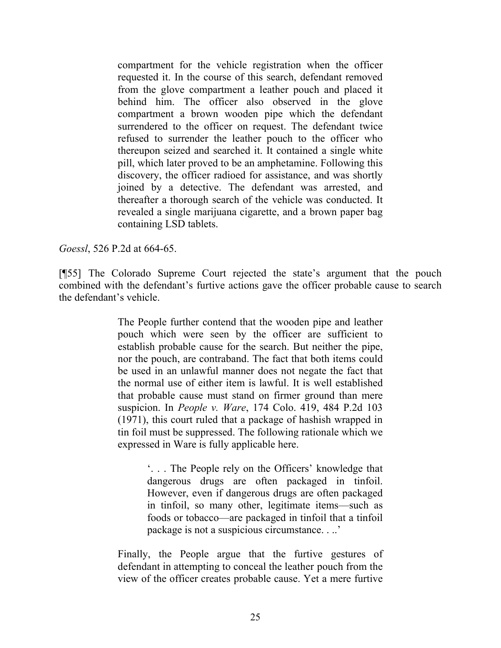compartment for the vehicle registration when the officer requested it. In the course of this search, defendant removed from the glove compartment a leather pouch and placed it behind him. The officer also observed in the glove compartment a brown wooden pipe which the defendant surrendered to the officer on request. The defendant twice refused to surrender the leather pouch to the officer who thereupon seized and searched it. It contained a single white pill, which later proved to be an amphetamine. Following this discovery, the officer radioed for assistance, and was shortly joined by a detective. The defendant was arrested, and thereafter a thorough search of the vehicle was conducted. It revealed a single marijuana cigarette, and a brown paper bag containing LSD tablets.

*Goessl*, 526 P.2d at 664-65.

[¶55] The Colorado Supreme Court rejected the state's argument that the pouch combined with the defendant's furtive actions gave the officer probable cause to search the defendant's vehicle.

> The People further contend that the wooden pipe and leather pouch which were seen by the officer are sufficient to establish probable cause for the search. But neither the pipe, nor the pouch, are contraband. The fact that both items could be used in an unlawful manner does not negate the fact that the normal use of either item is lawful. It is well established that probable cause must stand on firmer ground than mere suspicion. In *People v. Ware*, 174 Colo. 419, 484 P.2d 103 (1971), this court ruled that a package of hashish wrapped in tin foil must be suppressed. The following rationale which we expressed in Ware is fully applicable here.

> > '. . . The People rely on the Officers' knowledge that dangerous drugs are often packaged in tinfoil. However, even if dangerous drugs are often packaged in tinfoil, so many other, legitimate items—such as foods or tobacco—are packaged in tinfoil that a tinfoil package is not a suspicious circumstance. . ..'

Finally, the People argue that the furtive gestures of defendant in attempting to conceal the leather pouch from the view of the officer creates probable cause. Yet a mere furtive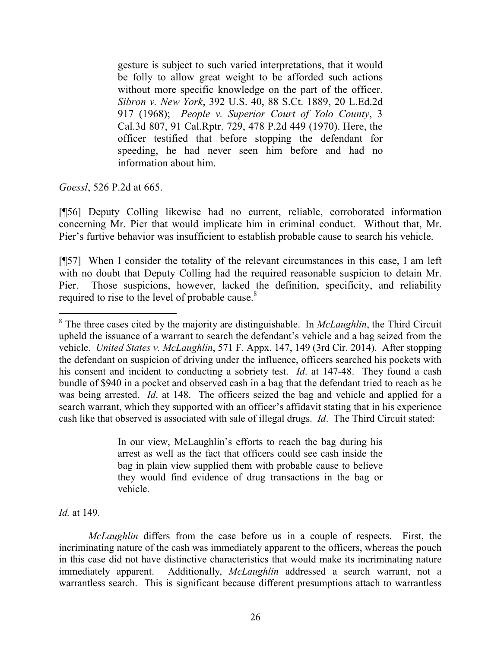gesture is subject to such varied interpretations, that it would be folly to allow great weight to be afforded such actions without more specific knowledge on the part of the officer. *Sibron v. New York*, 392 U.S. 40, 88 S.Ct. 1889, 20 L.Ed.2d 917 (1968); *People v. Superior Court of Yolo County*, 3 Cal.3d 807, 91 Cal.Rptr. 729, 478 P.2d 449 (1970). Here, the officer testified that before stopping the defendant for speeding, he had never seen him before and had no information about him.

*Goessl*, 526 P.2d at 665.

[¶56] Deputy Colling likewise had no current, reliable, corroborated information concerning Mr. Pier that would implicate him in criminal conduct. Without that, Mr. Pier's furtive behavior was insufficient to establish probable cause to search his vehicle.

[¶57] When I consider the totality of the relevant circumstances in this case, I am left with no doubt that Deputy Colling had the required reasonable suspicion to detain Mr. Pier. Those suspicions, however, lacked the definition, specificity, and reliability required to rise to the level of probable cause.<sup>8</sup>

In our view, McLaughlin's efforts to reach the bag during his arrest as well as the fact that officers could see cash inside the bag in plain view supplied them with probable cause to believe they would find evidence of drug transactions in the bag or vehicle.

*Id.* at 149.

 $\overline{a}$ 

*McLaughlin* differs from the case before us in a couple of respects. First, the incriminating nature of the cash was immediately apparent to the officers, whereas the pouch in this case did not have distinctive characteristics that would make its incriminating nature immediately apparent. Additionally, *McLaughlin* addressed a search warrant, not a warrantless search. This is significant because different presumptions attach to warrantless

<sup>8</sup> The three cases cited by the majority are distinguishable. In *McLaughlin*, the Third Circuit upheld the issuance of a warrant to search the defendant's vehicle and a bag seized from the vehicle. *United States v. McLaughlin*, 571 F. Appx. 147, 149 (3rd Cir. 2014). After stopping the defendant on suspicion of driving under the influence, officers searched his pockets with his consent and incident to conducting a sobriety test. *Id*. at 147-48. They found a cash bundle of \$940 in a pocket and observed cash in a bag that the defendant tried to reach as he was being arrested. *Id*. at 148. The officers seized the bag and vehicle and applied for a search warrant, which they supported with an officer's affidavit stating that in his experience cash like that observed is associated with sale of illegal drugs. *Id*. The Third Circuit stated: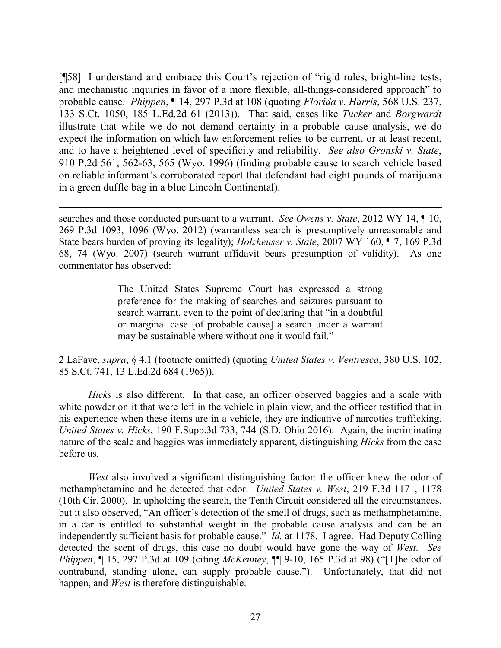[¶58] I understand and embrace this Court's rejection of "rigid rules, bright-line tests, and mechanistic inquiries in favor of a more flexible, all-things-considered approach" to probable cause. *Phippen*, ¶ 14, 297 P.3d at 108 (quoting *Florida v. Harris*, 568 U.S. 237, 133 S.Ct. 1050, 185 L.Ed.2d 61 (2013)). That said, cases like *Tucker* and *Borgwardt* illustrate that while we do not demand certainty in a probable cause analysis, we do expect the information on which law enforcement relies to be current, or at least recent, and to have a heightened level of specificity and reliability. *See also Gronski v. State*, 910 P.2d 561, 562-63, 565 (Wyo. 1996) (finding probable cause to search vehicle based on reliable informant's corroborated report that defendant had eight pounds of marijuana in a green duffle bag in a blue Lincoln Continental).

searches and those conducted pursuant to a warrant. *See Owens v. State*, 2012 WY 14, ¶ 10, 269 P.3d 1093, 1096 (Wyo. 2012) (warrantless search is presumptively unreasonable and State bears burden of proving its legality); *Holzheuser v. State*, 2007 WY 160, ¶ 7, 169 P.3d 68, 74 (Wyo. 2007) (search warrant affidavit bears presumption of validity). As one commentator has observed:

The United States Supreme Court has expressed a strong preference for the making of searches and seizures pursuant to search warrant, even to the point of declaring that "in a doubtful or marginal case [of probable cause] a search under a warrant may be sustainable where without one it would fail."

2 LaFave, *supra*, § 4.1 (footnote omitted) (quoting *United States v. Ventresca*, 380 U.S. 102, 85 S.Ct. 741, 13 L.Ed.2d 684 (1965)).

*Hicks* is also different. In that case, an officer observed baggies and a scale with white powder on it that were left in the vehicle in plain view, and the officer testified that in his experience when these items are in a vehicle, they are indicative of narcotics trafficking. *United States v. Hicks*, 190 F.Supp.3d 733, 744 (S.D. Ohio 2016). Again, the incriminating nature of the scale and baggies was immediately apparent, distinguishing *Hicks* from the case before us.

*West* also involved a significant distinguishing factor: the officer knew the odor of methamphetamine and he detected that odor. *United States v. West*, 219 F.3d 1171, 1178 (10th Cir. 2000). In upholding the search, the Tenth Circuit considered all the circumstances, but it also observed, "An officer's detection of the smell of drugs, such as methamphetamine, in a car is entitled to substantial weight in the probable cause analysis and can be an independently sufficient basis for probable cause." *Id.* at 1178. I agree. Had Deputy Colling detected the scent of drugs, this case no doubt would have gone the way of *West*. *See Phippen*, ¶ 15, 297 P.3d at 109 (citing *McKenney*, ¶¶ 9-10, 165 P.3d at 98) ("[T]he odor of contraband, standing alone, can supply probable cause."). Unfortunately, that did not happen, and *West* is therefore distinguishable.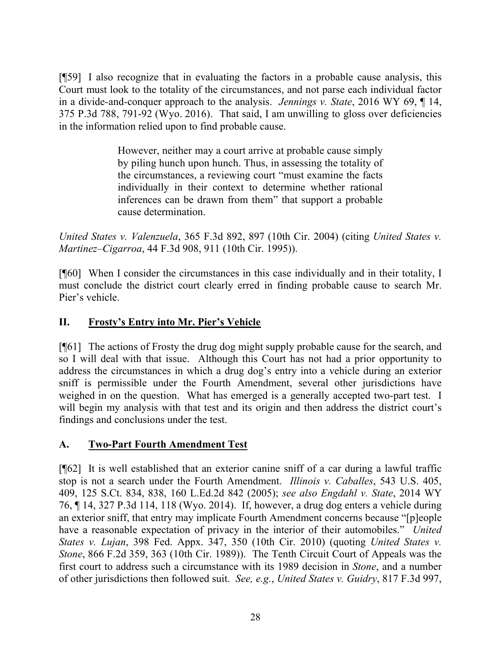[¶59] I also recognize that in evaluating the factors in a probable cause analysis, this Court must look to the totality of the circumstances, and not parse each individual factor in a divide-and-conquer approach to the analysis. *Jennings v. State*, 2016 WY 69, ¶ 14, 375 P.3d 788, 791-92 (Wyo. 2016). That said, I am unwilling to gloss over deficiencies in the information relied upon to find probable cause.

> However, neither may a court arrive at probable cause simply by piling hunch upon hunch. Thus, in assessing the totality of the circumstances, a reviewing court "must examine the facts individually in their context to determine whether rational inferences can be drawn from them" that support a probable cause determination.

*United States v. Valenzuela*, 365 F.3d 892, 897 (10th Cir. 2004) (citing *United States v. Martinez–Cigarroa*, 44 F.3d 908, 911 (10th Cir. 1995)).

[¶60] When I consider the circumstances in this case individually and in their totality, I must conclude the district court clearly erred in finding probable cause to search Mr. Pier's vehicle.

## **II. Frosty's Entry into Mr. Pier's Vehicle**

[¶61] The actions of Frosty the drug dog might supply probable cause for the search, and so I will deal with that issue. Although this Court has not had a prior opportunity to address the circumstances in which a drug dog's entry into a vehicle during an exterior sniff is permissible under the Fourth Amendment, several other jurisdictions have weighed in on the question. What has emerged is a generally accepted two-part test. I will begin my analysis with that test and its origin and then address the district court's findings and conclusions under the test.

# **A. Two-Part Fourth Amendment Test**

[¶62] It is well established that an exterior canine sniff of a car during a lawful traffic stop is not a search under the Fourth Amendment. *Illinois v. Caballes*, 543 U.S. 405, 409, 125 S.Ct. 834, 838, 160 L.Ed.2d 842 (2005); *see also Engdahl v. State*, 2014 WY 76, ¶ 14, 327 P.3d 114, 118 (Wyo. 2014). If, however, a drug dog enters a vehicle during an exterior sniff, that entry may implicate Fourth Amendment concerns because "[p]eople have a reasonable expectation of privacy in the interior of their automobiles." *United States v. Lujan*, 398 Fed. Appx. 347, 350 (10th Cir. 2010) (quoting *United States v. Stone*, 866 F.2d 359, 363 (10th Cir. 1989)). The Tenth Circuit Court of Appeals was the first court to address such a circumstance with its 1989 decision in *Stone*, and a number of other jurisdictions then followed suit. *See, e.g.*, *United States v. Guidry*, 817 F.3d 997,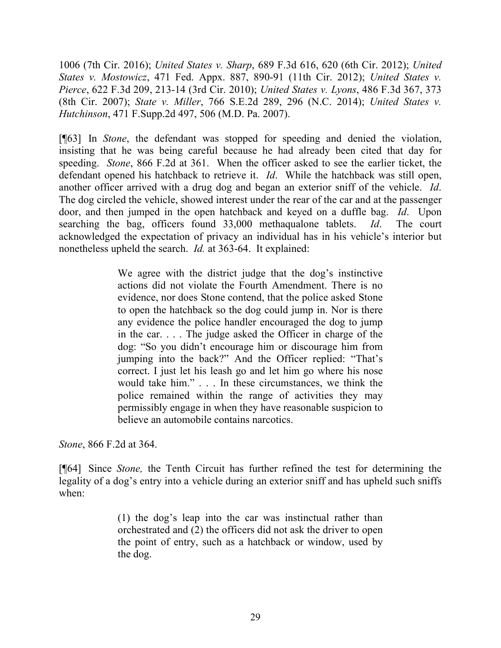1006 (7th Cir. 2016); *United States v. Sharp*, 689 F.3d 616, 620 (6th Cir. 2012); *United States v. Mostowicz*, 471 Fed. Appx. 887, 890-91 (11th Cir. 2012); *United States v. Pierce*, 622 F.3d 209, 213-14 (3rd Cir. 2010); *United States v. Lyons*, 486 F.3d 367, 373 (8th Cir. 2007); *State v. Miller*, 766 S.E.2d 289, 296 (N.C. 2014); *United States v. Hutchinson*, 471 F.Supp.2d 497, 506 (M.D. Pa. 2007).

[¶63] In *Stone*, the defendant was stopped for speeding and denied the violation, insisting that he was being careful because he had already been cited that day for speeding. *Stone*, 866 F.2d at 361. When the officer asked to see the earlier ticket, the defendant opened his hatchback to retrieve it. *Id*. While the hatchback was still open, another officer arrived with a drug dog and began an exterior sniff of the vehicle. *Id*. The dog circled the vehicle, showed interest under the rear of the car and at the passenger door, and then jumped in the open hatchback and keyed on a duffle bag. *Id*. Upon searching the bag, officers found 33,000 methaqualone tablets. *Id*. The court acknowledged the expectation of privacy an individual has in his vehicle's interior but nonetheless upheld the search. *Id.* at 363-64. It explained:

> We agree with the district judge that the dog's instinctive actions did not violate the Fourth Amendment. There is no evidence, nor does Stone contend, that the police asked Stone to open the hatchback so the dog could jump in. Nor is there any evidence the police handler encouraged the dog to jump in the car. . . . The judge asked the Officer in charge of the dog: "So you didn't encourage him or discourage him from jumping into the back?" And the Officer replied: "That's correct. I just let his leash go and let him go where his nose would take him." . . . In these circumstances, we think the police remained within the range of activities they may permissibly engage in when they have reasonable suspicion to believe an automobile contains narcotics.

*Stone*, 866 F.2d at 364.

[¶64] Since *Stone,* the Tenth Circuit has further refined the test for determining the legality of a dog's entry into a vehicle during an exterior sniff and has upheld such sniffs when:

> (1) the dog's leap into the car was instinctual rather than orchestrated and (2) the officers did not ask the driver to open the point of entry, such as a hatchback or window, used by the dog.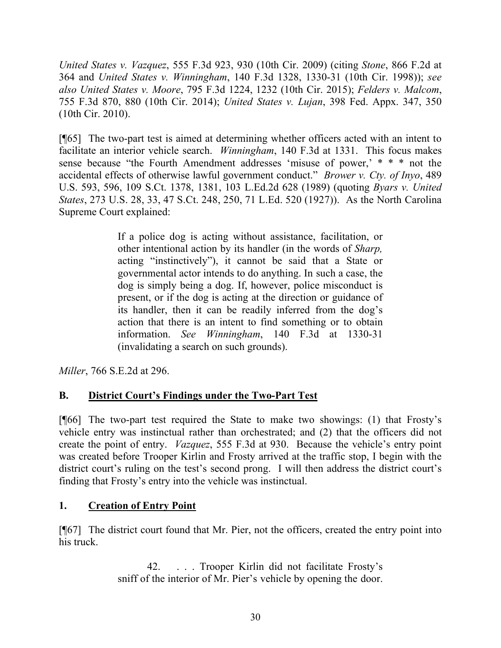*United States v. Vazquez*, 555 F.3d 923, 930 (10th Cir. 2009) (citing *Stone*, 866 F.2d at 364 and *United States v. Winningham*, 140 F.3d 1328, 1330-31 (10th Cir. 1998)); *see also United States v. Moore*, 795 F.3d 1224, 1232 (10th Cir. 2015); *Felders v. Malcom*, 755 F.3d 870, 880 (10th Cir. 2014); *United States v. Lujan*, 398 Fed. Appx. 347, 350 (10th Cir. 2010).

[¶65] The two-part test is aimed at determining whether officers acted with an intent to facilitate an interior vehicle search. *Winningham*, 140 F.3d at 1331. This focus makes sense because "the Fourth Amendment addresses 'misuse of power,' \* \* \* not the accidental effects of otherwise lawful government conduct." *Brower v. Cty. of Inyo*, 489 U.S. 593, 596, 109 S.Ct. 1378, 1381, 103 L.Ed.2d 628 (1989) (quoting *Byars v. United States*, 273 U.S. 28, 33, 47 S.Ct. 248, 250, 71 L.Ed. 520 (1927)). As the North Carolina Supreme Court explained:

> If a police dog is acting without assistance, facilitation, or other intentional action by its handler (in the words of *Sharp,* acting "instinctively"), it cannot be said that a State or governmental actor intends to do anything. In such a case, the dog is simply being a dog. If, however, police misconduct is present, or if the dog is acting at the direction or guidance of its handler, then it can be readily inferred from the dog's action that there is an intent to find something or to obtain information. *See Winningham*, 140 F.3d at 1330-31 (invalidating a search on such grounds).

*Miller*, 766 S.E.2d at 296.

# **B. District Court's Findings under the Two-Part Test**

[¶66] The two-part test required the State to make two showings: (1) that Frosty's vehicle entry was instinctual rather than orchestrated; and (2) that the officers did not create the point of entry. *Vazquez*, 555 F.3d at 930. Because the vehicle's entry point was created before Trooper Kirlin and Frosty arrived at the traffic stop, I begin with the district court's ruling on the test's second prong. I will then address the district court's finding that Frosty's entry into the vehicle was instinctual.

# **1. Creation of Entry Point**

[¶67] The district court found that Mr. Pier, not the officers, created the entry point into his truck.

> 42. . . . Trooper Kirlin did not facilitate Frosty's sniff of the interior of Mr. Pier's vehicle by opening the door.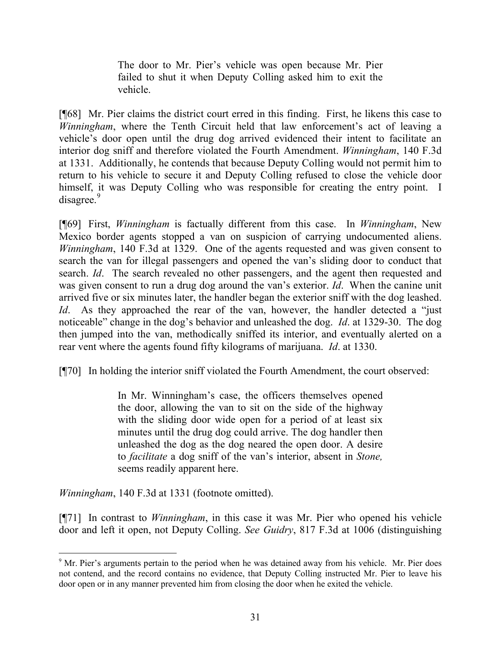The door to Mr. Pier's vehicle was open because Mr. Pier failed to shut it when Deputy Colling asked him to exit the vehicle.

[¶68] Mr. Pier claims the district court erred in this finding. First, he likens this case to *Winningham*, where the Tenth Circuit held that law enforcement's act of leaving a vehicle's door open until the drug dog arrived evidenced their intent to facilitate an interior dog sniff and therefore violated the Fourth Amendment. *Winningham*, 140 F.3d at 1331. Additionally, he contends that because Deputy Colling would not permit him to return to his vehicle to secure it and Deputy Colling refused to close the vehicle door himself, it was Deputy Colling who was responsible for creating the entry point. I disagree.<sup>9</sup>

[¶69] First, *Winningham* is factually different from this case. In *Winningham*, New Mexico border agents stopped a van on suspicion of carrying undocumented aliens. *Winningham*, 140 F.3d at 1329. One of the agents requested and was given consent to search the van for illegal passengers and opened the van's sliding door to conduct that search. *Id*. The search revealed no other passengers, and the agent then requested and was given consent to run a drug dog around the van's exterior. *Id*. When the canine unit arrived five or six minutes later, the handler began the exterior sniff with the dog leashed. *Id*. As they approached the rear of the van, however, the handler detected a "just" noticeable" change in the dog's behavior and unleashed the dog. *Id*. at 1329-30. The dog then jumped into the van, methodically sniffed its interior, and eventually alerted on a rear vent where the agents found fifty kilograms of marijuana. *Id*. at 1330.

[¶70] In holding the interior sniff violated the Fourth Amendment, the court observed:

In Mr. Winningham's case, the officers themselves opened the door, allowing the van to sit on the side of the highway with the sliding door wide open for a period of at least six minutes until the drug dog could arrive. The dog handler then unleashed the dog as the dog neared the open door. A desire to *facilitate* a dog sniff of the van's interior, absent in *Stone,* seems readily apparent here.

*Winningham*, 140 F.3d at 1331 (footnote omitted).

l

[¶71] In contrast to *Winningham*, in this case it was Mr. Pier who opened his vehicle door and left it open, not Deputy Colling. *See Guidry*, 817 F.3d at 1006 (distinguishing

<sup>&</sup>lt;sup>9</sup> Mr. Pier's arguments pertain to the period when he was detained away from his vehicle. Mr. Pier does not contend, and the record contains no evidence, that Deputy Colling instructed Mr. Pier to leave his door open or in any manner prevented him from closing the door when he exited the vehicle.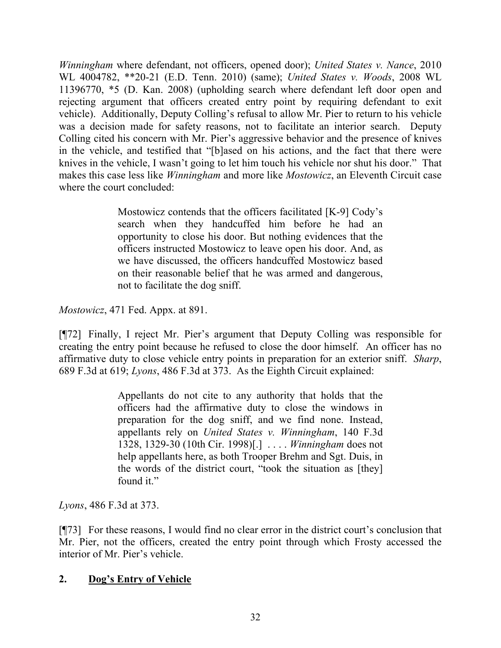*Winningham* where defendant, not officers, opened door); *United States v. Nance*, 2010 WL 4004782, \*\*20-21 (E.D. Tenn. 2010) (same); *United States v. Woods*, 2008 WL 11396770, \*5 (D. Kan. 2008) (upholding search where defendant left door open and rejecting argument that officers created entry point by requiring defendant to exit vehicle). Additionally, Deputy Colling's refusal to allow Mr. Pier to return to his vehicle was a decision made for safety reasons, not to facilitate an interior search. Deputy Colling cited his concern with Mr. Pier's aggressive behavior and the presence of knives in the vehicle, and testified that "[b]ased on his actions, and the fact that there were knives in the vehicle, I wasn't going to let him touch his vehicle nor shut his door." That makes this case less like *Winningham* and more like *Mostowicz*, an Eleventh Circuit case where the court concluded:

> Mostowicz contends that the officers facilitated [K-9] Cody's search when they handcuffed him before he had an opportunity to close his door. But nothing evidences that the officers instructed Mostowicz to leave open his door. And, as we have discussed, the officers handcuffed Mostowicz based on their reasonable belief that he was armed and dangerous, not to facilitate the dog sniff.

*Mostowicz*, 471 Fed. Appx. at 891.

[¶72] Finally, I reject Mr. Pier's argument that Deputy Colling was responsible for creating the entry point because he refused to close the door himself. An officer has no affirmative duty to close vehicle entry points in preparation for an exterior sniff. *Sharp*, 689 F.3d at 619; *Lyons*, 486 F.3d at 373. As the Eighth Circuit explained:

> Appellants do not cite to any authority that holds that the officers had the affirmative duty to close the windows in preparation for the dog sniff, and we find none. Instead, appellants rely on *United States v. Winningham*, 140 F.3d 1328, 1329-30 (10th Cir. 1998)[.] . . . . *Winningham* does not help appellants here, as both Trooper Brehm and Sgt. Duis, in the words of the district court, "took the situation as [they] found it."

*Lyons*, 486 F.3d at 373.

[¶73] For these reasons, I would find no clear error in the district court's conclusion that Mr. Pier, not the officers, created the entry point through which Frosty accessed the interior of Mr. Pier's vehicle.

# **2. Dog's Entry of Vehicle**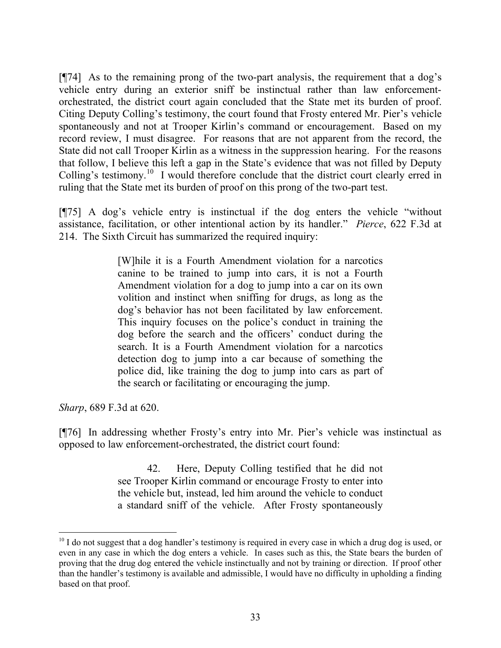[¶74] As to the remaining prong of the two-part analysis, the requirement that a dog's vehicle entry during an exterior sniff be instinctual rather than law enforcementorchestrated, the district court again concluded that the State met its burden of proof. Citing Deputy Colling's testimony, the court found that Frosty entered Mr. Pier's vehicle spontaneously and not at Trooper Kirlin's command or encouragement. Based on my record review, I must disagree. For reasons that are not apparent from the record, the State did not call Trooper Kirlin as a witness in the suppression hearing. For the reasons that follow, I believe this left a gap in the State's evidence that was not filled by Deputy Colling's testimony.<sup>10</sup> I would therefore conclude that the district court clearly erred in ruling that the State met its burden of proof on this prong of the two-part test.

[¶75] A dog's vehicle entry is instinctual if the dog enters the vehicle "without assistance, facilitation, or other intentional action by its handler." *Pierce*, 622 F.3d at 214. The Sixth Circuit has summarized the required inquiry:

> [W]hile it is a Fourth Amendment violation for a narcotics canine to be trained to jump into cars, it is not a Fourth Amendment violation for a dog to jump into a car on its own volition and instinct when sniffing for drugs, as long as the dog's behavior has not been facilitated by law enforcement. This inquiry focuses on the police's conduct in training the dog before the search and the officers' conduct during the search. It is a Fourth Amendment violation for a narcotics detection dog to jump into a car because of something the police did, like training the dog to jump into cars as part of the search or facilitating or encouraging the jump.

*Sharp*, 689 F.3d at 620.

 $\overline{a}$ 

[¶76] In addressing whether Frosty's entry into Mr. Pier's vehicle was instinctual as opposed to law enforcement-orchestrated, the district court found:

> 42. Here, Deputy Colling testified that he did not see Trooper Kirlin command or encourage Frosty to enter into the vehicle but, instead, led him around the vehicle to conduct a standard sniff of the vehicle. After Frosty spontaneously

 $10$  I do not suggest that a dog handler's testimony is required in every case in which a drug dog is used, or even in any case in which the dog enters a vehicle. In cases such as this, the State bears the burden of proving that the drug dog entered the vehicle instinctually and not by training or direction. If proof other than the handler's testimony is available and admissible, I would have no difficulty in upholding a finding based on that proof.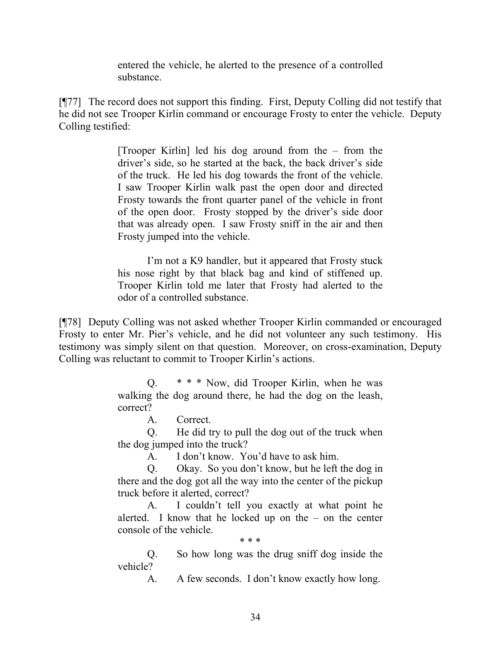entered the vehicle, he alerted to the presence of a controlled substance.

[¶77] The record does not support this finding. First, Deputy Colling did not testify that he did not see Trooper Kirlin command or encourage Frosty to enter the vehicle. Deputy Colling testified:

> [Trooper Kirlin] led his dog around from the – from the driver's side, so he started at the back, the back driver's side of the truck. He led his dog towards the front of the vehicle. I saw Trooper Kirlin walk past the open door and directed Frosty towards the front quarter panel of the vehicle in front of the open door. Frosty stopped by the driver's side door that was already open. I saw Frosty sniff in the air and then Frosty jumped into the vehicle.

> I'm not a K9 handler, but it appeared that Frosty stuck his nose right by that black bag and kind of stiffened up. Trooper Kirlin told me later that Frosty had alerted to the odor of a controlled substance.

[¶78] Deputy Colling was not asked whether Trooper Kirlin commanded or encouraged Frosty to enter Mr. Pier's vehicle, and he did not volunteer any such testimony. His testimony was simply silent on that question. Moreover, on cross-examination, Deputy Colling was reluctant to commit to Trooper Kirlin's actions.

> Q. \* \* \* Now, did Trooper Kirlin, when he was walking the dog around there, he had the dog on the leash, correct?

> > A. Correct.

Q. He did try to pull the dog out of the truck when the dog jumped into the truck?

A. I don't know. You'd have to ask him.

Q. Okay. So you don't know, but he left the dog in there and the dog got all the way into the center of the pickup truck before it alerted, correct?

A. I couldn't tell you exactly at what point he alerted. I know that he locked up on the  $-$  on the center console of the vehicle.

\* \* \*

Q. So how long was the drug sniff dog inside the vehicle?

A. A few seconds. I don't know exactly how long.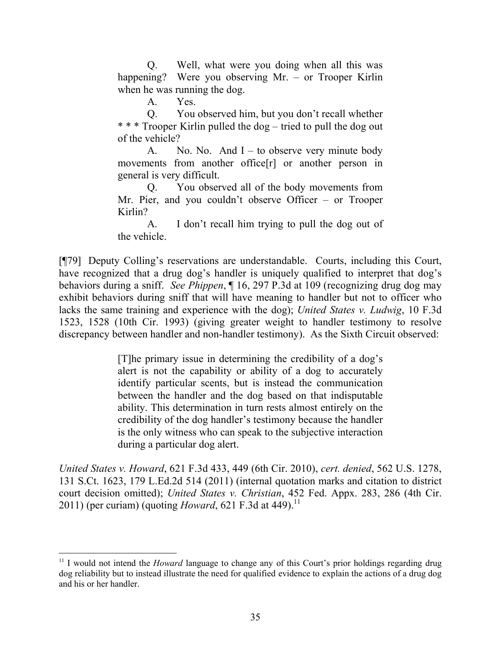Q. Well, what were you doing when all this was happening? Were you observing Mr. – or Trooper Kirlin when he was running the dog.

A. Yes.

Q. You observed him, but you don't recall whether \* \* \* Trooper Kirlin pulled the dog – tried to pull the dog out of the vehicle?

A. No. No. And  $I -$  to observe very minute body movements from another office[r] or another person in general is very difficult.

Q. You observed all of the body movements from Mr. Pier, and you couldn't observe Officer – or Trooper Kirlin?

A. I don't recall him trying to pull the dog out of the vehicle.

[¶79] Deputy Colling's reservations are understandable. Courts, including this Court, have recognized that a drug dog's handler is uniquely qualified to interpret that dog's behaviors during a sniff. *See Phippen*, ¶ 16, 297 P.3d at 109 (recognizing drug dog may exhibit behaviors during sniff that will have meaning to handler but not to officer who lacks the same training and experience with the dog); *United States v. Ludwig*, 10 F.3d 1523, 1528 (10th Cir. 1993) (giving greater weight to handler testimony to resolve discrepancy between handler and non-handler testimony). As the Sixth Circuit observed:

> [T]he primary issue in determining the credibility of a dog's alert is not the capability or ability of a dog to accurately identify particular scents, but is instead the communication between the handler and the dog based on that indisputable ability. This determination in turn rests almost entirely on the credibility of the dog handler's testimony because the handler is the only witness who can speak to the subjective interaction during a particular dog alert.

*United States v. Howard*, 621 F.3d 433, 449 (6th Cir. 2010), *cert. denied*, 562 U.S. 1278, 131 S.Ct. 1623, 179 L.Ed.2d 514 (2011) (internal quotation marks and citation to district court decision omitted); *United States v. Christian*, 452 Fed. Appx. 283, 286 (4th Cir. 2011) (per curiam) (quoting *Howard*, 621 F.3d at 449).<sup>11</sup>

l

<sup>&</sup>lt;sup>11</sup> I would not intend the *Howard* language to change any of this Court's prior holdings regarding drug dog reliability but to instead illustrate the need for qualified evidence to explain the actions of a drug dog and his or her handler.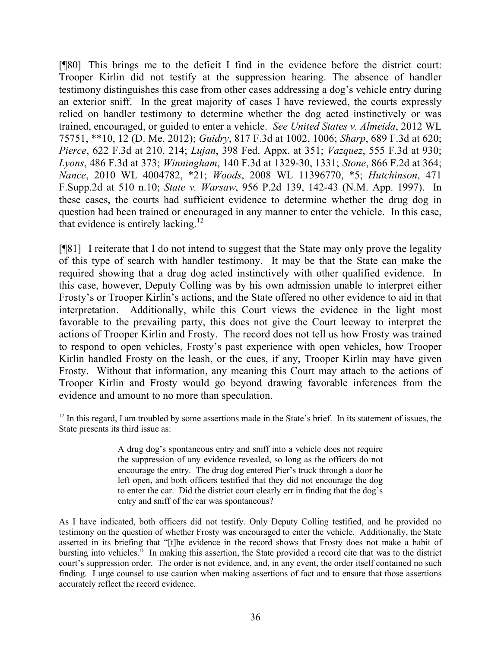[¶80] This brings me to the deficit I find in the evidence before the district court: Trooper Kirlin did not testify at the suppression hearing. The absence of handler testimony distinguishes this case from other cases addressing a dog's vehicle entry during an exterior sniff. In the great majority of cases I have reviewed, the courts expressly relied on handler testimony to determine whether the dog acted instinctively or was trained, encouraged, or guided to enter a vehicle. *See United States v. Almeida*, 2012 WL 75751, \*\*10, 12 (D. Me. 2012); *Guidry*, 817 F.3d at 1002, 1006; *Sharp*, 689 F.3d at 620; *Pierce*, 622 F.3d at 210, 214; *Lujan*, 398 Fed. Appx. at 351; *Vazquez*, 555 F.3d at 930; *Lyons*, 486 F.3d at 373; *Winningham*, 140 F.3d at 1329-30, 1331; *Stone*, 866 F.2d at 364; *Nance*, 2010 WL 4004782, \*21; *Woods*, 2008 WL 11396770, \*5; *Hutchinson*, 471 F.Supp.2d at 510 n.10; *State v. Warsaw*, 956 P.2d 139, 142-43 (N.M. App. 1997). In these cases, the courts had sufficient evidence to determine whether the drug dog in question had been trained or encouraged in any manner to enter the vehicle. In this case, that evidence is entirely lacking.<sup>12</sup>

[¶81] I reiterate that I do not intend to suggest that the State may only prove the legality of this type of search with handler testimony. It may be that the State can make the required showing that a drug dog acted instinctively with other qualified evidence. In this case, however, Deputy Colling was by his own admission unable to interpret either Frosty's or Trooper Kirlin's actions, and the State offered no other evidence to aid in that interpretation. Additionally, while this Court views the evidence in the light most favorable to the prevailing party, this does not give the Court leeway to interpret the actions of Trooper Kirlin and Frosty. The record does not tell us how Frosty was trained to respond to open vehicles, Frosty's past experience with open vehicles, how Trooper Kirlin handled Frosty on the leash, or the cues, if any, Trooper Kirlin may have given Frosty. Without that information, any meaning this Court may attach to the actions of Trooper Kirlin and Frosty would go beyond drawing favorable inferences from the evidence and amount to no more than speculation.

 $\overline{a}$ 

<sup>&</sup>lt;sup>12</sup> In this regard, I am troubled by some assertions made in the State's brief. In its statement of issues, the State presents its third issue as:

A drug dog's spontaneous entry and sniff into a vehicle does not require the suppression of any evidence revealed, so long as the officers do not encourage the entry. The drug dog entered Pier's truck through a door he left open, and both officers testified that they did not encourage the dog to enter the car. Did the district court clearly err in finding that the dog's entry and sniff of the car was spontaneous?

As I have indicated, both officers did not testify. Only Deputy Colling testified, and he provided no testimony on the question of whether Frosty was encouraged to enter the vehicle. Additionally, the State asserted in its briefing that "[t]he evidence in the record shows that Frosty does not make a habit of bursting into vehicles." In making this assertion, the State provided a record cite that was to the district court's suppression order. The order is not evidence, and, in any event, the order itself contained no such finding. I urge counsel to use caution when making assertions of fact and to ensure that those assertions accurately reflect the record evidence.